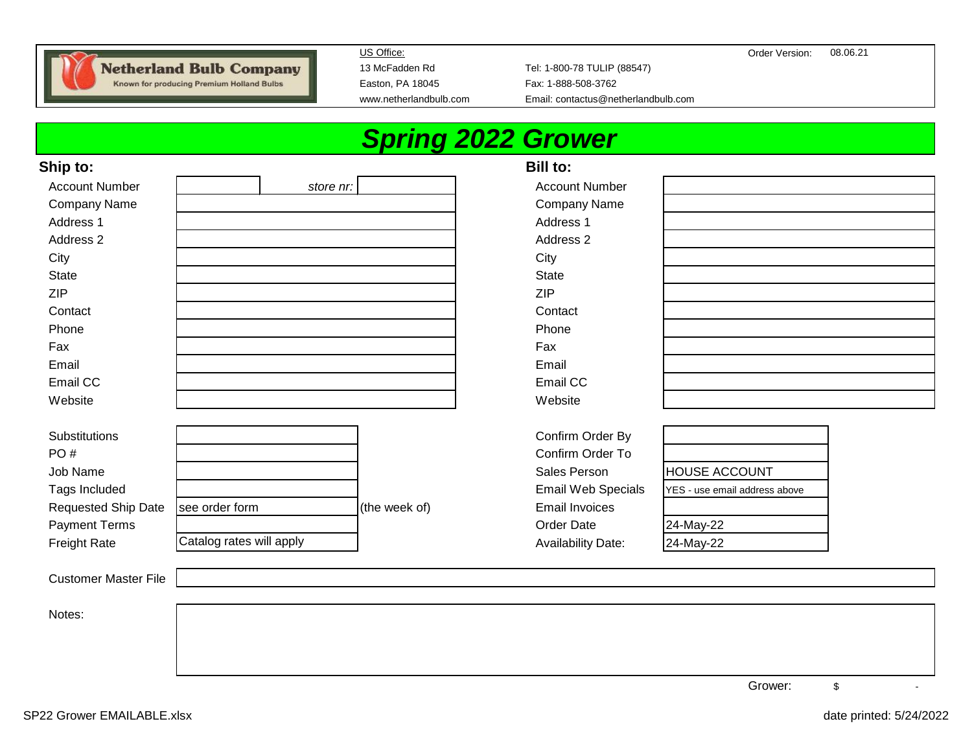

Known for producing Premium Holland Bulbs

Easton, PA 18045 Fax: 1-888-508-3762

13 McFadden Rd Tel: 1-800-78 TULIP (88547) www.netherlandbulb.com Email: contactus@netherlandbulb.com

# *Spring 2022 Grower*

#### **Ship to: Bill to:**

| <b>Account Number</b>       | store nr:                |               | <b>Account Number</b>     |                               |  |
|-----------------------------|--------------------------|---------------|---------------------------|-------------------------------|--|
| Company Name                |                          |               | Company Name              |                               |  |
| Address 1                   |                          |               | Address 1                 |                               |  |
| Address <sub>2</sub>        |                          |               | Address 2                 |                               |  |
| City                        |                          |               | City                      |                               |  |
| State                       |                          |               | <b>State</b>              |                               |  |
| ZIP                         |                          |               | <b>ZIP</b>                |                               |  |
| Contact                     |                          |               | Contact                   |                               |  |
| Phone                       |                          |               | Phone                     |                               |  |
| Fax                         |                          |               | Fax                       |                               |  |
| Email                       |                          |               | Email                     |                               |  |
| Email CC                    |                          |               | Email CC                  |                               |  |
| Website                     |                          |               | Website                   |                               |  |
|                             |                          |               |                           |                               |  |
| Substitutions               |                          |               | Confirm Order By          |                               |  |
| PO#                         |                          |               | Confirm Order To          |                               |  |
| Job Name                    |                          |               | Sales Person              | HOUSE ACCOUNT                 |  |
| Tags Included               |                          |               | Email Web Specials        | YES - use email address above |  |
| Requested Ship Date         | see order form           | (the week of) | <b>Email Invoices</b>     |                               |  |
| <b>Payment Terms</b>        |                          |               | Order Date                | 24-May-22                     |  |
| <b>Freight Rate</b>         | Catalog rates will apply |               | <b>Availability Date:</b> | 24-May-22                     |  |
|                             |                          |               |                           |                               |  |
| <b>Customer Master File</b> |                          |               |                           |                               |  |
|                             |                          |               |                           |                               |  |
| Notes:                      |                          |               |                           |                               |  |
|                             |                          |               |                           |                               |  |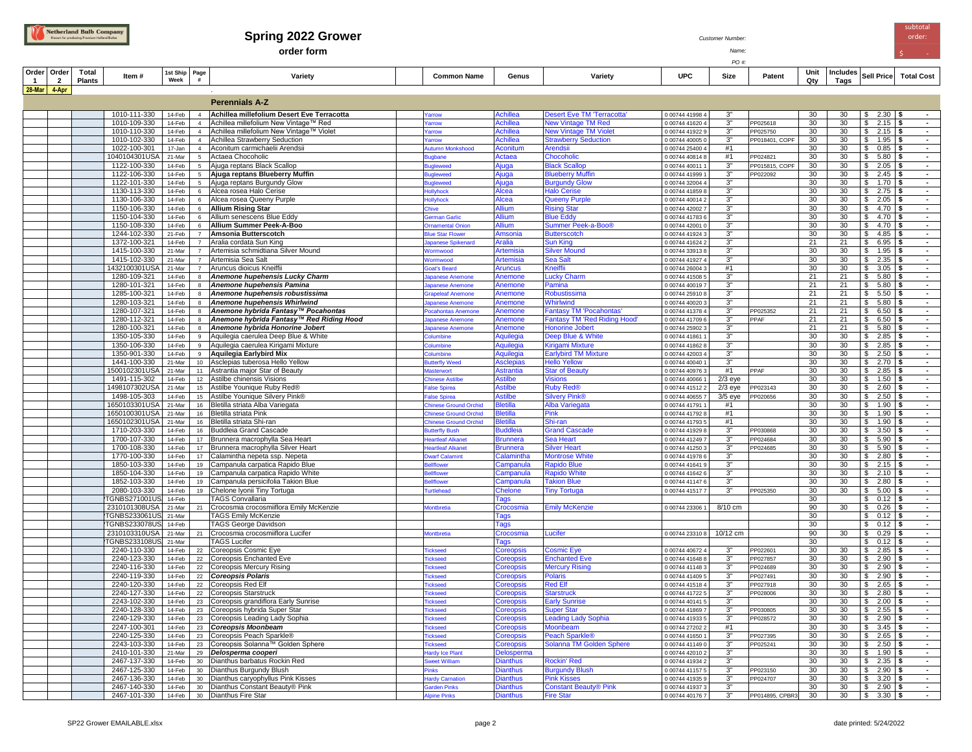

#### **Spring 2022 Grower** *Customer Number:*

**order form** *Name;* \$ -

| ame: |  |  |
|------|--|--|

*PO #:*

| Order<br>$\mathbf{1}$ | Order                   | Total         | Item#                                | 1st Ship Page<br>Week |                | Variety                                                                                 | <b>Common Name</b>                   | Genus                                | Variety                                                        | <b>UPC</b>                         | Size                 | Patent               | Unit<br>Qtv           | Includes | <b>Sell Price</b>                                                  | <b>Total Cost</b>                                |
|-----------------------|-------------------------|---------------|--------------------------------------|-----------------------|----------------|-----------------------------------------------------------------------------------------|--------------------------------------|--------------------------------------|----------------------------------------------------------------|------------------------------------|----------------------|----------------------|-----------------------|----------|--------------------------------------------------------------------|--------------------------------------------------|
| 28-Mar 4-Apr          | $\overline{\mathbf{2}}$ | <b>Plants</b> |                                      |                       |                |                                                                                         |                                      |                                      |                                                                |                                    |                      |                      |                       | Tags     |                                                                    |                                                  |
|                       |                         |               |                                      |                       |                | <b>Perennials A-Z</b>                                                                   |                                      |                                      |                                                                |                                    |                      |                      |                       |          |                                                                    |                                                  |
|                       |                         |               |                                      |                       |                |                                                                                         |                                      |                                      |                                                                |                                    |                      |                      |                       |          |                                                                    |                                                  |
|                       |                         |               | 1010-111-330<br>1010-109-330         | 14-Feb<br>14-Feb      |                | 4 Achillea millefolium Desert Eve Terracotta<br>4 Achillea millefolium New Vintage™ Red | arrow                                | <b>Achillea</b><br><b>Achillea</b>   | <b>Desert Eve TM 'Terracotta'</b><br><b>New Vintage TM Red</b> | 0 00744 41998 4<br>0 00744 41620 4 | 3"<br>3"             | PP025618             | 30<br>30              | 30<br>30 | 2.30<br>$\mathcal{L}$<br>$\mathbf{s}$<br>2.15                      | $\sim$                                           |
|                       |                         |               | 1010-110-330                         | 14-Feb                |                | 4 Achillea millefolium New Vintage™ Violet                                              | arrow<br>arrow                       | <b>Achillea</b>                      | <b>New Vintage TM Violet</b>                                   | 0 00744 41922 9                    | 3"                   | PP025750             | 30                    | 30       | 2.15<br>$\overline{\mathcal{S}}$                                   | $\blacksquare$<br>\$                             |
|                       |                         |               | 1010-102-330                         | 14-Feb                |                | 4 Achillea Strawberry Seduction                                                         | arrow                                | <b>Achillea</b>                      | <b>Strawberry Seduction</b>                                    | 0 00744 40005 0                    | 3 <sup>n</sup>       | PP018401, COPF       | 30                    | 30       | $\overline{\$}$<br>1.95                                            | - \$<br>$\sim$                                   |
|                       |                         |               | 1022-100-301                         | 17-Jan                |                | 4 Aconitum carmichaelii Arendsii                                                        | <b>utumn Monkshood</b>               | Aconitum                             | Arendsii                                                       | 0 00744 25400 4                    | #1                   |                      | 30                    | 30       | $\mathbb{S}$<br>0.85                                               | $\blacksquare$                                   |
|                       |                         |               | 1040104301USA                        | 21-Mar                | $5 -$          | Actaea Chocoholic                                                                       | igbane                               | Actaea                               | Chocoholic                                                     | 0 00744 40814 8                    | #1                   | PP024821             | 30                    | 30       | \$<br>5.80                                                         | $\sim$                                           |
|                       |                         |               | 1122-100-330                         | 14-Feb                | 5 <sup>5</sup> | Ajuga reptans Black Scallop                                                             | igleweed                             | Ajuga                                | <b>Black Scallop</b>                                           | 0 00744 40011 1                    | 3"                   | P015815, COPF        | 30                    | 30       | \$<br>2.05                                                         |                                                  |
|                       |                         |               | 1122-106-330<br>1122-101-330         | 14-Feb<br>14-Feb      |                | 5 Ajuga reptans Blueberry Muffin                                                        | <b>igleweed</b>                      | Ajuga<br>Ajuga                       | <b>Blueberry Muffin</b>                                        | 0 00744 41999 1<br>0 00744 32004 4 | 3"<br>3"             | PP022092             | 30<br>30              | 30<br>30 | \$<br>2.45<br>\$<br>1.70                                           | $\blacksquare$                                   |
|                       |                         |               | 1130-113-330                         | 14-Feb                | 6              | 5 Ajuga reptans Burgundy Glow<br>Alcea rosea Halo Cerise                                | igleweed<br>ollyhock                 | <b>Alcea</b>                         | <b>Burgundy Glow</b><br><b>Halo Cerise</b>                     | 0 00744 41859 8                    | 3 <sup>n</sup>       |                      | 30                    | 30       | 2.75<br>\$                                                         | £.<br>$\blacksquare$                             |
|                       |                         |               | 1130-106-330                         | 14-Feb                | 6              | Alcea rosea Queeny Purple                                                               | ollyhock                             | Alcea                                | <b>Queeny Purple</b>                                           | 0 00744 40014 2                    | $3^{\circ}$          |                      | 30                    | 30       | 2.05<br>-S                                                         | $\sim$<br>- 5                                    |
|                       |                         |               | 1150-106-330                         | 14-Feb                | 6              | <b>Allium Rising Star</b>                                                               | :hive                                | <b>Allium</b>                        | <b>Rising Star</b>                                             | 0 00744 42002 7                    | 3"                   |                      | 30                    | 30       | 4.70<br>-S                                                         | $\bullet$<br>- 5                                 |
|                       |                         |               | 1150-104-330                         | 14-Feb                | 6              | Allium senescens Blue Eddy                                                              | erman Garlic                         | Allium                               | <b>Blue Eddy</b>                                               | 0 00744 41783 6                    | 3"                   |                      | 30                    | 30       | 4.70<br>S.                                                         | $\bullet$                                        |
|                       |                         |               | 1150-108-330                         | 14-Feb                | 6              | Allium Summer Peek-A-Boo                                                                | rnamental Onion                      | Allium                               | Summer Peek-a-Boo®                                             | 0 00744 42001 0                    | 3"                   |                      | 30                    | 30       | 4.70<br>S.                                                         | $\sim$                                           |
|                       |                         |               | 1244-102-330<br>1372-100-321         | 21-Feb                | $\overline{7}$ | Amsonia Butterscotch                                                                    | lue Star Flower                      | Amsonia                              | <b>Butterscotch</b>                                            | 0 00744 41924 3                    | 3"<br>$3"$           |                      | 30<br>21              | 30<br>21 | 4.85<br>s.<br>6.95<br>-S                                           | $\sim$<br>- 93                                   |
|                       |                         |               | 1415-100-330                         | 14-Feb<br>21-Mar      | $\overline{7}$ | 7 Aralia cordata Sun King<br>Artemisia schmidtiana Silver Mound                         | apanese Spikenard<br>Vormwood        | <b>Aralia</b><br><b>Artemisia</b>    | <b>Sun King</b><br><b>Silver Mound</b>                         | 0 00744 41624 2<br>0 00744 33913 8 | 3 <sup>1</sup>       |                      | 30                    | 30       | 1.95<br>\$                                                         | $\sim$<br>$\sim$<br>- 56                         |
|                       |                         |               | 1415-102-330                         | 21-Mar                | $\overline{7}$ | Artemisia Sea Salt                                                                      | Vormwood                             | Artemisia                            | <b>Sea Salt</b>                                                | 0 00744 41927 4                    | 3"                   |                      | 30                    | 30       | 2.35<br>\$                                                         | $\sim$<br>- 5                                    |
|                       |                         |               | 1432100301USA                        | 21-Mar                |                | 7 Aruncus dioicus Kneiffi                                                               | ioat's Beard                         | <b>Aruncus</b>                       | <b>Kneiffil</b>                                                | 0 00744 26004 3                    | #1                   |                      | 30                    | 30       | 3.05<br>\$                                                         | $\sim$<br>- \$                                   |
|                       |                         |               | 1280-109-321                         | 14-Feb                | $\mathbf{8}$   | Anemone hupehensis Lucky Charm                                                          | apanese Anemone                      | Anemone                              | <b>Lucky Charm</b>                                             | 0 00744 41508                      | 3"                   |                      | 21                    | 21       | \$<br>5.80                                                         | $\sim$                                           |
|                       |                         |               | 1280-101-321                         | 14-Feb                | $\mathbf{8}$   | Anemone hupehensis Pamina                                                               | panese Anemone                       | Anemone                              | Pamina                                                         | 0 00744 40019                      | 3"                   |                      | 21                    | 21       | 5.80<br>\$                                                         | $\sim$                                           |
|                       |                         |               | 1285-100-321                         | 14-Feb                | 8              | Anemone hupehensis robustissima                                                         | rapeleaf Anemone                     | Anemone                              | Robustissima                                                   | 0 00744 25910 8                    | 3"                   |                      | 21                    | 21       | 5.50<br>\$                                                         | $\sim$                                           |
|                       |                         |               | 1280-103-321<br>1280-107-321         | 14-Feb<br>14-Feb      | $\mathbf{R}$   | Anemone hupehensis Whirlwind<br>Anemone hybrida Fantasy™ Pocahontas                     | ipanese Anemone<br>ocahontas Anemone | Anemone<br>Anemone                   | <b>Whirlwind</b><br><b>Fantasy TM 'Pocahontas</b>              | 0 00744 40020 :<br>0 00744 41378 4 | 3"<br>3 <sup>1</sup> | PP025352             | 21<br>21              | 21<br>21 | \$<br>5.80<br>\$<br>6.50                                           | $\sim$<br>$\sim$                                 |
|                       |                         |               | 1280-112-321                         | 14-Feb                | $\mathbf{8}$   | Anemone hybrida Fantasy™ Red Riding Hood                                                | apanese Anemone                      | Anemone                              | <b>Fantasy TM 'Red Riding Hood'</b>                            | 0 00744 41709 6                    | 3"                   | PPAF                 | 21                    | 21       | $\mathbb{S}$<br>6.50                                               | $\mathbf{r}$<br>- \$                             |
|                       |                         |               | 1280-100-321                         | 14-Feb                |                | Anemone hybrida Honorine Jobert                                                         | panese Anemone                       | Anemone                              | <b>Honorine Jobert</b>                                         | 0 00744 25902                      | 3"                   |                      | 21                    | 21       | $\mathbb{S}$<br>5.80                                               | $\sim$<br>- \$                                   |
|                       |                         |               | 1350-105-330                         | 14-Feb                |                | Aquilegia caerulea Deep Blue & White                                                    | olumbine                             | Aquilegia                            | Deep Blue & White                                              | 0 00744 41861 1                    | 3"                   |                      | 30                    | 30       | $\mathbf{s}$<br>2.85                                               | $\sim$<br>- \$                                   |
|                       |                         |               | 1350-106-330                         | 14-Feb                | 9              | Aquilegia caerulea Kirigami Mixture                                                     | olumbine                             | Aquilegia                            | <b>Kirigami Mixture</b>                                        | 0 00744 41862 8                    | 3"                   |                      | 30                    | 30       | $\overline{\mathbf{s}}$<br>2.85                                    | ∣ \$<br>$\sim$                                   |
|                       |                         |               | 1350-901-330                         | 14-Feb                | 9              | Aquilegia Earlybird Mix                                                                 | olumbine                             | Aquilegia                            | <b>Earlybird TM Mixture</b>                                    | 0 00744 42003 4                    | 3"                   |                      | 30                    | 30       | $\overline{\mathbf{s}}$<br>2.50                                    | $\overline{\phantom{a}}$<br>-96                  |
|                       |                         |               | 1441-100-330                         | 21-Mar                |                | 10 Asclepias tuberosa Hello Yellow                                                      | utterfly Weed                        | <b>Asclepias</b>                     | <b>Hello Yellow</b>                                            | 0 00744 40040 1                    | $3^{\circ}$<br>#1    | PPAF                 | 30<br>30              | 30       | $\overline{\mathbf{s}}$<br>2.70<br>$\overline{\mathbf{S}}$<br>2.85 | $\sim$<br>\$<br>$\sim$                           |
|                       |                         |               | 1500102301USA<br>1491-115-302        | 21-Mar<br>14-Feb      |                | 11 Astrantia major Star of Beauty<br>12 Astilbe chinensis Visions                       | asterwort<br>hinese Astilbe          | <b>Astrantia</b><br><b>Astilbe</b>   | <b>Star of Beauty</b><br><b>Visions</b>                        | 0 00744 40976 3<br>0 00744 40066 1 | $2/3$ eye            |                      | 30                    | 30<br>30 | \$<br>1.50                                                         | - \$<br>$\sim$                                   |
|                       |                         |               | 1498107302USA                        | 21-Mar                |                | 15 Astilbe Younique Ruby Red®                                                           | alse Spirea                          | <b>Astilbe</b>                       | <b>Ruby Red®</b>                                               | 0 00744 41512 2                    | $2/3$ eye            | PP023143             | 30                    | 30       | $\overline{\mathbf{s}}$<br>2.60                                    | - \$<br>$\sim$                                   |
|                       |                         |               | 1498-105-303                         | 14-Feb                |                | 15 Astilbe Younique Silvery Pink®                                                       | alse Spirea                          | stilbe                               | <b>Silvery Pink®</b>                                           | 0 00744 40655 7                    | 3/5 eye              | PP020656             | 30                    | 30       | \$<br>2.50                                                         | $\blacksquare$<br>Ŝ.                             |
|                       |                         |               | 1650103301USA                        | 21-Mar                |                | 16 Bletilla striata Alba Variegata                                                      | ninese Ground Orchid                 | letilla                              | Alba Variegata                                                 | 0 00744 41791 '                    | #1                   |                      | 30                    | 30       | 1.90<br>\$                                                         |                                                  |
|                       |                         |               | 1650100301USA                        | 21-Mar                |                | 16 Bletilla striata Pink                                                                | ninese Ground Orchid                 | letilla                              | <b>Pink</b>                                                    | 0 00744 41792 8                    | #1                   |                      | 30                    | 30       | 1.90<br>\$                                                         |                                                  |
|                       |                         |               | 1650102301USA                        | 21-Mar                |                | 16 Bletilla striata Shi-ran<br>16 Buddleia Grand Cascade                                | hinese Ground Orchid                 | etilla                               | Shi-ran                                                        | 0 00744 41793 5                    | #1<br>3"             |                      | 30<br>30              | 30<br>30 | 1.90<br>\$.                                                        | $\blacksquare$                                   |
|                       |                         |               | 1710-203-330<br>1700-107-330         | 14-Feb<br>14-Feb      |                | 17 Brunnera macrophylla Sea Heart                                                       | utterfly Bush<br>eartleaf Alkanet    | <b>Suddleia</b><br><b>Irunnera</b>   | <b>Grand Cascade</b><br>Sea Heart                              | 0 00744 41929 8<br>0 00744 41249 7 | 3"                   | PP030868<br>PP024684 | 30                    | 30       | 3.50<br>\$<br>\$<br>5.90                                           | $\overline{\phantom{a}}$<br>$\blacksquare$<br>\$ |
|                       |                         |               | 1700-108-330                         | 14-Feb                |                | 17 Brunnera macrophylla Silver Heart                                                    | eartleaf Alkanet                     | <b>Brunnera</b>                      | <b>Silver Heart</b>                                            | 0 00744 41250 3                    | 3"                   | PP024685             | 30                    | 30       | 5.90<br>\$                                                         | $\sim$<br>-96                                    |
|                       |                         |               | 1770-100-330                         | 14-Feb                |                | 17 Calamintha nepeta ssp. Nepeta                                                        | warf Calamint                        | alamintha                            | <b>Montrose White</b>                                          | 0 00744 41978 6                    | 3"                   |                      | 30                    | 30       | 2.80<br>\$                                                         | $\blacksquare$                                   |
|                       |                         |               | 1850-103-330                         | 14-Feb                | 19             | Campanula carpatica Rapido Blue                                                         | <b>allflower</b>                     | Campanula                            | <b>Rapido Blue</b>                                             | 0 00744 41641 9                    | 3"                   |                      | 30                    | 30       | 2.15<br>\$                                                         | $\sim$                                           |
|                       |                         |               | 1850-104-330                         | 14-Feb                |                | 19 Campanula carpatica Rapido White                                                     | ellflower                            | Campanula                            | <b>Rapido White</b>                                            | 0 00744 41642 6                    | 3"                   |                      | 30                    | 30       | 2.10<br>\$                                                         | $\sim$                                           |
|                       |                         |               | 1852-103-330                         | 14-Feb                |                | 19 Campanula persicifolia Takion Blue                                                   | ellflower                            | Campanula                            | <b>Takion Blue</b>                                             | 0 00744 41147 6                    | 3"                   |                      | 30                    | 30       | 2.80<br>\$                                                         | $\sim$                                           |
|                       |                         |               | 2080-103-330<br><b>TGNBS271001US</b> | 14-Feb<br>14-Feb      |                | 19 Chelone Iyonii Tiny Tortuga<br><b>TAGS Convallaria</b>                               | urtlehead                            | Chelone<br><b>Tags</b>               | <b>Tiny Tortuga</b>                                            | 0 00744 41517 7                    | $3^{\circ}$          | PP025350             | 30 <sup>°</sup><br>30 | 30       | 5.00<br>\$<br>0.12<br>\$                                           | $\bullet$<br>$\sim$                              |
|                       |                         |               | 2310101308USA                        | 21-Mar                | 21             | Crocosmia crocosmiiflora Emily McKenzie                                                 | Montbretia                           | Crocosmia                            | <b>Emily McKenzie</b>                                          | 0 00744 23306 1                    | 8/10 cm              |                      | 90                    | 30       | 0.26<br>\$                                                         | $\sim$<br>∣ S                                    |
|                       |                         |               | TGNBS233061US 21-Mar                 |                       |                | <b>TAGS Emily McKenzie</b>                                                              |                                      | Tags                                 |                                                                |                                    |                      |                      | 30                    |          | \$<br>0.12                                                         | $\sim$<br>- \$                                   |
|                       |                         |               | <b>TGNBS233078US</b>                 | 14-Feb                |                | <b>TAGS George Davidson</b>                                                             |                                      | <b>Tags</b>                          |                                                                |                                    |                      |                      | 30                    |          | $\mathbb{S}$<br>0.12                                               | $\blacksquare$<br>l \$                           |
|                       |                         |               | 2310103310USA                        | 21-Mar                | 21             | Crocosmia crocosmiiflora Lucifer                                                        | ontbretia                            | Crocosmia                            | Lucifer                                                        | 0 00744 23310 8                    | 10/12 cm             |                      | 90                    | 30       | $\mathbb{S}$<br>0.29                                               | $\blacksquare$                                   |
|                       |                         |               | TGNBS233108US 21-Mar                 |                       |                | <b>TAGS Lucifer</b>                                                                     |                                      | Tags                                 |                                                                |                                    |                      |                      | 30                    |          | 0.12<br>\$                                                         | $\blacksquare$                                   |
|                       |                         |               | 2240-110-330<br>2240-123-330         | 14-Feb<br>14-Feb      | 22<br>22       | Coreopsis Cosmic Eye<br>Coreopsis Enchanted Eve                                         | <b>Tickseed</b><br><b>ickseed</b>    | <b>Coreopsis</b><br>Coreopsis        | <b>Cosmic Eye</b><br><b>Enchanted Eve</b>                      | 0 00744 40672 4<br>0 00744 41648 8 | 3"<br>3"             | PP022601<br>PP027857 | 30<br>30              | 30<br>30 | $\sqrt{3}$<br>2.85<br>$\mathbb{S}$<br>2.90                         | $\overline{\phantom{a}}$<br>$\blacksquare$       |
|                       |                         |               | 2240-116-330                         | 14-Feb                | 22             | Coreopsis Mercury Rising                                                                | ickseed                              | <b>Coreopsis</b>                     | <b>Mercury Rising</b>                                          | 0 00744 41148 3                    | 3"                   | PP024689             | 30                    | 30       | \$<br>2.90                                                         | $\sim$<br>- 5                                    |
|                       |                         |               | 2240-119-330                         | 14-Feb                | 22             | Coreopsis Polaris                                                                       | ickseed                              | Coreopsis                            | <b>Polaris</b>                                                 | 0 00744 41409 5                    | 3"                   | PP027491             | 30                    | 30       | $\mathbf{\$}$<br>2.90                                              | $\sim$                                           |
|                       |                         |               | 2240-120-330                         | 14-Feb                | 22             | Coreopsis Red Elf                                                                       | ickseed                              | Coreopsis                            | <b>Red Elf</b>                                                 | 0 00744 41518 4                    | 3 <sup>n</sup>       | PP027918             | 30                    | 30       | 2.65<br>$\hat{\mathcal{L}}$                                        | $\blacksquare$                                   |
|                       |                         |               | 2240-127-330                         | 14-Feb                | 22             | Coreopsis Starstruck                                                                    | ickseed                              | Coreopsis                            | <b>Starstruck</b>                                              | 0 00744 41722 5                    | $3^{\circ}$          | PP028006             | 30                    | 30       | $\overline{\mathbf{s}}$<br>2.80                                    | $\sim$                                           |
|                       |                         |               | 2243-102-330                         | 14-Feb                |                | 23 Coreopsis grandiflora Early Sunrise                                                  | ickseed                              | <b>Coreopsis</b>                     | <b>Early Sunrise</b>                                           | 0 00744 40141 5                    | $\overline{3}$       |                      | 30                    | 30       | \$<br>2.00                                                         | $\sim$                                           |
|                       |                         |               | 2240-128-330                         | 14-Feb                |                | 23 Coreopsis hybrida Super Star                                                         | <b>ickseed</b>                       | Coreopsis                            | <b>Super Star</b>                                              | 0 00744 41869 7                    | 3"<br>3"             | PP030805             | 30                    | 30       | $\overline{\mathbf{s}}$<br>2.55                                    | $\sim$                                           |
|                       |                         |               | 2240-129-330<br>2247-100-301         | 14-Feb<br>14-Feb      |                | 23 Coreopsis Leading Lady Sophia<br>23 Coreopsis Moonbeam                               | ickseed<br>ickseed                   | <b>Coreopsis</b><br><b>Coreopsis</b> | <b>Leading Lady Sophia</b><br><b>Moonbeam</b>                  | 0 00744 41933 5<br>0 00744 27202 2 | #1                   | PP028572             | 30<br>30              | 30<br>30 | $\bullet$<br>2.90<br>$\overline{\mathbf{s}}$<br>3.45               | $\blacksquare$<br>$\sim$<br>- 5                  |
|                       |                         |               | 2240-125-330                         | 14-Feb                |                | 23 Coreopsis Peach Sparkle®                                                             | ckseed                               | <b>Coreopsis</b>                     | <b>Peach Sparkle®</b>                                          | 0 00744 41650 1                    | $3"$                 | PP027395             | 30                    | 30       | 2.65<br>\$                                                         | $\sim$                                           |
|                       |                         |               | 2243-103-330                         | 14-Feb                | 23             | Coreopsis Solanna™ Golden Sphere                                                        | ckseed                               | <b>Coreopsis</b>                     | <b>Solanna TM Golden Sphere</b>                                | 0 00744 41149 0                    | 3"                   | PP025241             | 30                    | 30       | \$<br>2.50                                                         | $\sim$                                           |
|                       |                         |               | 2410-101-330                         | 21-Mar                |                | 29 Delosperma cooperi                                                                   | ardy Ice Plant                       | <b>elosperma</b>                     |                                                                | 0 00744 42010 2                    | 3"                   |                      | 30                    | 30       | 1.90<br>\$                                                         |                                                  |
|                       |                         |               | 2467-137-330                         | 14-Feb                | $30^{\circ}$   | Dianthus barbatus Rockin Red                                                            | <b>veet William</b>                  | <b>Dianthus</b>                      | <b>Rockin' Red</b>                                             | 0 00744 41934 2                    | 3"                   |                      | 30                    | 30       | 2.35<br>\$                                                         | $\blacksquare$                                   |
|                       |                         |               | 2467-125-330                         | 14-Feb                |                | 30 Dianthus Burgundy Blush                                                              | inks                                 | <b>Dianthus</b>                      | <b>Burgundy Blush</b>                                          | 0 00744 41157 5                    | 3"                   | PP023150             | 30                    | 30       | 2.90<br>\$                                                         |                                                  |
|                       |                         |               | 2467-136-330<br>2467-140-330         | 14-Feb<br>14-Feb      |                | 30 Dianthus caryophyllus Pink Kisses<br>30 Dianthus Constant Beauty® Pink               | lardy Carnation<br>arden Pinks       | <b>Dianthus</b><br><b>Dianthus</b>   | <b>Pink Kisses</b><br><b>Constant Beauty® Pink</b>             | 0 00744 41935 9<br>0 00744 41937 3 | 3"<br>3"             | PP024707             | 30<br>30              | 30<br>30 | 3.20<br>\$<br>2.90<br>S.                                           | ∣ \$<br>$\sim$<br>$\sim$<br>- 5                  |
|                       |                         |               | 2467-101-330                         | 14-Feb                |                | 30 Dianthus Fire Star                                                                   | <b>Ipine Pinks</b>                   | <b>Dianthus</b>                      | <b>Fire Star</b>                                               | 0 00744 40176 7                    | 3"                   | PP014895, CPBR3      | 30                    | 30       | 3.30<br>-S                                                         | -S                                               |
|                       |                         |               |                                      |                       |                |                                                                                         |                                      |                                      |                                                                |                                    |                      |                      |                       |          |                                                                    |                                                  |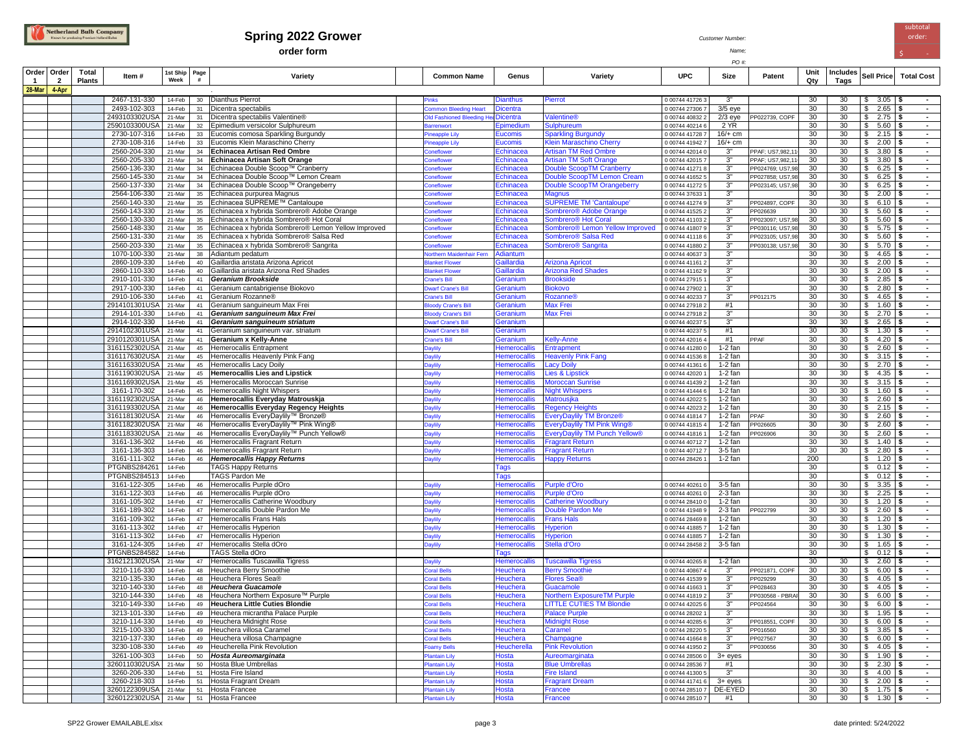

## **Spring 2022 Grower** *Customer Number:*<br> **Spring 2022 Grower** *Customer Number:*

**order form** *Name;* \$ -

subtotal

|        |                    |                        |                                       |                  |           |                                                                      |                                          |                                     |                                                 | PO #                               |                      |                  |             |                  |                                         |                   |
|--------|--------------------|------------------------|---------------------------------------|------------------|-----------|----------------------------------------------------------------------|------------------------------------------|-------------------------------------|-------------------------------------------------|------------------------------------|----------------------|------------------|-------------|------------------|-----------------------------------------|-------------------|
| -1     | Order   Order<br>2 | Total<br><b>Plants</b> | ltem #                                | 1st Ship<br>Week | Page<br># | Variety                                                              | <b>Common Name</b>                       | Genus                               | Variety                                         | <b>UPC</b>                         | Size                 | Patent           | Unit<br>Qty | Includes<br>Tags | Sell Price                              | <b>Total Cost</b> |
| 28-Mar | 4-Apr              |                        |                                       |                  |           |                                                                      |                                          |                                     |                                                 |                                    |                      |                  |             |                  |                                         |                   |
|        |                    |                        | 2467-131-330                          | 14-Feb           | 30        | Dianthus Pierrot                                                     | inks                                     | Dianthus                            | Pierrot                                         | 0 00744 41726 3                    | 3"                   |                  | 30          | 30               | $$3.05$ \\$                             | $\sim$            |
|        |                    |                        | 2493-102-303                          | 14-Feb           | 31        | Dicentra spectabilis                                                 | ommon Bleeding Heart                     | Dicentra                            |                                                 | 0 00744 27306 7                    | $3/5$ eye            |                  | 30          | 30               | $$2.65$ \\$                             | $\sim$<br>$\sim$  |
|        |                    |                        | 2493103302USA<br>2590103300USA 21-Mar | 21-Mar           | 31        | Dicentra spectabilis Valentine®<br>Epimedium versicolor Sulphureum   | <b>Old Fashioned Bleeding H</b>          | <b>licentra</b>                     | <b>Valentine®</b>                               | 0 00744 40832 2                    | $2/3$ eye            | PP022739, COPF   | 30<br>30    | 30<br>30         | $$2.75$ \\$<br>$$5.60$   \$             | $\sim$            |
|        |                    |                        | 2730-107-316                          | 14-Feb           | 32        |                                                                      | arrenwort                                | Epimedium<br><b>Eucomis</b>         | <b>Sulphureum</b><br><b>Sparkling Burgundy</b>  | 0 00744 40214 6<br>0 00744 41728 7 | 2 YR<br>$16/+$ cm    |                  | 30          | 30               | $$2.15$ \ \$                            | $\sim$            |
|        |                    |                        | 2730-108-316                          | 14-Feb           | 33<br>33  | Eucomis comosa Sparkling Burgundy<br>Eucomis Klein Maraschino Cherry | Pineapple Lily                           | <b>Eucomis</b>                      | Klein Maraschino Cherry                         | 0 00744 41942 7                    | $16/+$ cm            |                  | 30          | 30               | \$<br>2.00                              | l \$<br>$\sim$    |
|        |                    |                        | 2560-204-330                          | 21-Mar           | 34        | Echinacea Artisan Red Ombre                                          | ineapple Lily<br><b>Coneflower</b>       | Echinacea                           | <b>Artisan TM Red Ombre</b>                     | 0 00744 42014 0                    | 3"                   | PPAF: US7,982,1  | 30          | 30               | \$<br>$3.80$ \$                         | $\sim$            |
|        |                    |                        | 2560-205-330                          | 21-Mar           | 34        | Echinacea Artisan Soft Orange                                        | <b>Coneflower</b>                        | Echinacea                           | <b>Artisan TM Soft Orange</b>                   | 0 00744 42015 7                    | 3"                   | PPAF: US7,982,1  | 30          | 30               | $3.80$ \$<br>S.                         | $\sim$            |
|        |                    |                        | 2560-136-330                          | 21-Mar           | 34        | Echinacea Double Scoop™ Cranberry                                    | <b>Coneflower</b>                        | Echinacea                           | <b>Double ScoopTM Cranberry</b>                 | 0 00744 41271 8                    | 3"                   | PP024769; US7,98 | 30          | 30               | \$<br>$6.25$ \\$                        | $\blacksquare$    |
|        |                    |                        | 2560-145-330                          | 21-Mar           | 34        | Echinacea Double Scoop™ Lemon Cream                                  | <b>Coneflower</b>                        | Echinacea                           | Double ScoopTM Lemon Cream                      | 0 00744 41652 5                    | 3"                   | PP027858; US7,98 | 30          | 30               | \$<br>$6.25$ \\$                        | $\sim$            |
|        |                    |                        | 2560-137-330                          | 21-Mar           | 34        | Echinacea Double Scoop™ Orangeberry                                  | <b>Coneflower</b>                        | Echinacea                           | Double ScoopTM Orangeberry                      | 0 00744 41272 5                    | 3"                   | PP023145; US7,98 | 30          | 30               | 6.25<br>\$                              | l \$<br>$\sim$    |
|        |                    |                        | 2564-106-330                          | 21-Mar           | 35        | Echinacea purpurea Magnus                                            | <b>Coneflower</b>                        | Echinacea                           | <b>Magnus</b>                                   | 0 00744 37633                      | 3"                   |                  | 30          | 30               | \$<br>2.00                              | l S<br>$\sim$     |
|        |                    |                        | 2560-140-330                          | 21-Mar           | 35        | Echinacea SUPREME™ Cantaloupe                                        | <b>Coneflower</b>                        | Echinacea                           | <b>SUPREME TM 'Cantaloupe'</b>                  | 0 00744 41274 9                    | 3"                   | PP024897, COPF   | 30          | 30               | $\mathbb{S}$<br>$6.10$ \$               | $\sim$            |
|        |                    |                        | 2560-143-330                          | 21-Mar           | 35        | Echinacea x hybrida Sombrero® Adobe Orange                           | <b>Coneflower</b>                        | Echinacea                           | Sombrero <sup>®</sup> Adobe Orange              | 0 00744 41525 2                    | 3"                   | PP026639         | 30          | 30               | $5.60$ \\$<br>\$                        | $\sim$            |
|        |                    |                        | 2560-130-330                          | 21-Mar           | 35        | Echinacea x hybrida Sombrero® Hot Coral                              | Coneflower                               | Echinacea                           | Sombrero <sup>®</sup> Hot Coral                 | 0 00744 41103 2                    | 3"                   | PP023097; US7,98 | 30          | 30               | \$<br>$5.60$   \$                       | $\sim$            |
|        |                    |                        | 2560-148-330                          | 21-Mar           | 35        | Echinacea x hybrida Sombrero® Lemon Yellow Improved                  | <b>Coneflower</b>                        | Echinacea                           | Sombrero® Lemon Yellow Improved                 | 0 00744 41807 9                    | 3"                   | PP030116; US7,98 | 30          | 30               | \$<br>$5.75$ \\$                        | $\sim$            |
|        |                    |                        | 2560-131-330                          | 21-Mar           | 35        | Echinacea x hybrida Sombrero® Salsa Red                              | <b>Coneflower</b>                        | Echinacea                           | Sombrero <sup>®</sup> Salsa Red                 | 0 00744 41118 6                    | $3^{\circ}$          | PP023105; US7,98 | 30          | 30               | 5.60<br>\$                              | l Si<br>$\sim$    |
|        |                    |                        | 2560-203-330                          | 21-Mar           | 35        | Echinacea x hybrida Sombrero® Sangrita                               | <b>Coneflower</b>                        | Echinacea                           | Sombrero <sup>®</sup> Sangrita                  | 0 00744 41880 2                    | 3"                   | PP030138; US7,98 | 30          | 30               | 5.70<br>\$                              | l S<br>$\sim$     |
|        |                    |                        | 1070-100-330                          | 21-Mar           | 38        | Adiantum pedatum                                                     | orthern Maidenhair Fern                  | Adiantum                            |                                                 | 0 00744 406373                     | 3"                   |                  | 30          | 30               | \$<br>4.65                              | l S<br>$\sim$     |
|        |                    |                        | 2860-109-330                          | 14-Feb           | 40        | Gaillardia aristata Arizona Apricot                                  | <b>Janket Flower</b>                     | <b>Gaillardia</b>                   | <b>Arizona Apricot</b>                          | 0 00744 41161 2                    | 3"                   |                  | 30          | 30               | \$<br>$2.00$ \$                         | $\sim$            |
|        |                    |                        | 2860-110-330                          | 14-Feb           | 40        | Gaillardia aristata Arizona Red Shades                               | lanket Flower                            | <b>Gaillardia</b>                   | <b>Arizona Red Shades</b>                       | 0 00744 41162 9                    | 3"                   |                  | 30          | 30               | $$2.00$ \\$                             | $\sim$            |
|        |                    |                        | 2910-101-330                          | 14-Feb           | 41        | Geranium Brookside                                                   | <b>Crane's Bill</b>                      | <b>Geranium</b>                     | <b>Brookside</b>                                | 0 00744 27915 1                    | 3"                   |                  | 30          | 30               | $$2.85$ \\$                             | $\sim$            |
|        |                    |                        | 2917-100-330                          | 14-Feb           | 41        | Geranium cantabrigiense Biokovo                                      | <b>Warf Crane's Bill</b>                 | Geranium                            | <b>Biokovo</b>                                  | 0 00744 27902 1                    | 3"                   |                  | 30          | 30               | \$<br>$2.80$ \ \$                       | $\sim$            |
|        |                    |                        | 2910-106-330                          | 14-Feb           | 41        | Geranium Rozanne®                                                    | Crane's Bill                             | Geranium                            | Rozanne®                                        | 0 00744 40233 7                    | 3"                   | PP012175         | 30          | 30               | \$4.65                                  | $\sim$            |
|        |                    |                        | 2914101301USA                         | 21-Mar           | 41        | Geranium sanguineum Max Frei                                         | oody Crane's Bill                        | Geranium                            | <b>Max Frei</b>                                 | 0 00744 27918 2                    | #1                   |                  | 30          | 30               | \$<br>$1.60$   \$                       | $\sim$            |
|        |                    |                        | 2914-101-330                          | 14-Feb           | 41        | Geranium sanguineum Max Frei                                         | <b>loody Crane's Bill</b>                | Geranium                            | Max Frei                                        | 0 00744 27918 2                    | 3"                   |                  | 30          | 30               | \$<br>$2.70$ \\$                        | $\sim$            |
|        |                    |                        | 2914-102-330                          | 14-Feb           | 41        | Geranium sanguineum striatum                                         | <b>Warf Crane's Bill</b>                 | Geranium                            |                                                 | 0 00744 40237 5                    | 3"                   |                  | 30          | 30               | $$2.65$ \ \$                            | $\sim$            |
|        |                    |                        | 2914102301USA                         | 21-Mar           | 41        | Geranium sanguineum var. striatum                                    | <b>Warf Crane's Bill</b>                 | <b>Geranium</b>                     |                                                 | 0 00744 40237 5                    | #1                   |                  | 30          | 30               | \$<br>1.30                              | $\sim$<br>l \$    |
|        |                    |                        | 2910120301USA 21-Mar                  |                  | 41        | Geranium x Kelly-Anne                                                | crane's Bill                             | Geranium                            | Kelly-Anne                                      | 0 00744 42016 4                    | #1                   | PPAF             | 30          | 30               | $$4.20$ \\$                             | $\sim$            |
|        |                    |                        | 3161152302USA 21-Mar<br>3161176302USA |                  | 45        | Hemerocallis Entrapment<br>Hemerocallis Heavenly Pink Fang           | <b>Jaylily</b>                           | <b>Hemerocallis</b>                 | Entrapment<br><b>Heavenly Pink Fang</b>         | 0 00744 41280 0                    | $1-2$ fan<br>1-2 fan |                  | 30<br>30    | 30<br>30         | $$2.60$ \\$<br>\$<br>$3.15$ \$          | $\sim$<br>$\sim$  |
|        |                    |                        | 3161163302USA 21-Mar                  | 21-Mar           | 45        | 45 Hemerocallis Lacy Doily                                           | <b>Jaylily</b>                           | <b>Hemerocallis</b>                 |                                                 | 0 00744 41536 8<br>0 00744 41361 6 | 1-2 fan              |                  | 30          | 30               | \$<br>$2.70$ \$                         | $\sim$            |
|        |                    |                        | 3161190302USA                         | 21-Mar           | 45        | <b>Hemerocallis Lies and Lipstick</b>                                | <b>Paylily</b><br><b>Jaylily</b>         | <b>Hemerocallis</b><br>Hemerocallis | <b>Lacy Doily</b><br><b>Lies &amp; Lipstick</b> | 0 00744 42020 1                    | $1-2$ fan            |                  | 30          | 30               | $$4.35$ \ \$                            | $\sim$            |
|        |                    |                        | 3161169302USA                         | 21-Mar           | 45        | Hemerocallis Moroccan Sunrise                                        | <b>Jaylily</b>                           | <b>Hemerocallis</b>                 | <b>Moroccan Sunrise</b>                         | 0 00744 41439 2                    | 1-2 fan              |                  | 30          | 30               | $$3.15$ \\$                             | $\sim$            |
|        |                    |                        | 3161-170-302                          | 14-Feb           | 45        | Hemerocallis Night Whispers                                          | <b>Jaylily</b>                           | <b>Hemerocallis</b>                 | <b>Night Whispers</b>                           | 0 00744 41444 6                    | $1-2$ fan            |                  | 30          | 30               | \$<br>$1.60$ \$                         | $\sim$            |
|        |                    |                        | 3161192302USA                         | 21-Mar           | 46        | Hemerocallis Everyday Matrouskja                                     | <b>Jaylily</b>                           | Hemerocallis                        | Matrousjka                                      | 0 00744 42022 5                    | $1-2$ fan            |                  | 30          | 30               | 2.60<br>S.                              | $\sim$<br>∣ S     |
|        |                    |                        | 3161193302USA                         | 21-Mar           | 46        | Hemerocallis Everyday Regency Heights                                | <b>Jaylily</b>                           | Hemerocallis                        | <b>Regency Heights</b>                          | 0 00744 42023 2                    | 1-2 fan              |                  | 30          | 30               | \$<br>2.15                              | $\sim$<br>l S     |
|        |                    |                        | 3161181302USA                         | 21-Mar           |           | 46 Hemerocallis EveryDaylily™ Bronze®                                | <b>Daylily</b>                           | <b>Hemerocallis</b>                 | <b>EveryDaylily TM Bronze®</b>                  | 0 00744 41814 7                    | 1-2 fan              | PPAF             | 30          | 30               | \$<br>$2.60$ \$                         | $\sim$            |
|        |                    |                        | 3161182302USA                         | 21-Mar           | 46        | Hemerocallis EveryDaylily™ Pink Wing®                                | <b>Jaylily</b>                           | <b>Hemerocallis</b>                 | <b>EveryDaylily TM Pink Wing®</b>               | 0 00744 41815 4                    | $1-2$ fan            | P026605          | 30          | 30               | $2.60$ \$<br>\$                         | $\sim$            |
|        |                    |                        | 3161183302USA                         | 21-Mar           | 46        | Hemerocallis EveryDaylily™ Punch Yellow®                             | Daylily                                  | Hemerocallis                        | EveryDaylily TM Punch Yellow®                   | 0 00744 41816 1                    | $1-2$ fan            | P026906          | 30          | 30               | $$2.60$ \\$                             | $\blacksquare$    |
|        |                    |                        | 3161-136-302                          | 14-Feb           | 46        | Hemerocallis Fragrant Return                                         | <b>Jaylily</b>                           | <b>Hemerocallis</b>                 | <b>Fragrant Return</b>                          | 0 00744 40712 7                    | $1-2$ fan            |                  | 30          | 30               | $$1.40$ \\$                             | $\sim$            |
|        |                    |                        | 3161-136-303                          | 14-Feb           | 46        | Hemerocallis Fragrant Return                                         | <b>Daylily</b>                           | <b>Hemerocallis</b>                 | <b>Fragrant Return</b>                          | 0 00744 40712 7                    | 3-5 fan              |                  | 30          | 30               | \$<br>2.80                              | l \$<br>$\sim$    |
|        |                    |                        | 3161-111-302                          | 14-Feb           | 46        | <b>Hemerocallis Happy Returns</b>                                    | Daylily                                  | <b>Hemerocallis</b>                 | <b>Happy Returns</b>                            | 0 00744 28426                      | 1-2 fan              |                  | 200         |                  | $$1.20$ \\$                             | $\sim$            |
|        |                    |                        | PTGNBS284261                          | 14-Feb           |           | <b>TAGS Happy Returns</b>                                            |                                          | Tags                                |                                                 |                                    |                      |                  | 30          |                  | \$<br>$0.12$ \$                         | $\sim$            |
|        |                    |                        | PTGNBS284513                          | 14-Feb           |           | TAGS Pardon Me                                                       |                                          | Tags                                |                                                 |                                    |                      |                  | 30          |                  | $0.12$ \$<br>\$                         | $\sim$            |
|        |                    |                        | 3161-122-305                          | 14-Feb           | 46        | Hemerocallis Purple dOro                                             | Daylily                                  | <b>Hemerocallis</b>                 | Purple d'Oro                                    | 0 00744 40261 0                    | 3-5 fan              |                  | 30          | 30               | $3.35$ \\$<br>\$                        | $\sim$            |
|        |                    |                        | 3161-122-303                          | 14-Feb           | 46        | Hemerocallis Purple dOro                                             | <b>Daylily</b>                           | Hemerocallis                        | <b>Purple d'Oro</b>                             | 0 00744 40261 0                    | $2-3$ fan            |                  | 30          | 30               | $$2.25$ \\$                             | $\sim$            |
|        |                    |                        | 3161-105-302                          | 14-Feb           | 47        | Hemerocallis Catherine Woodbury                                      | <b>Daylily</b>                           | <b>Hemerocallis</b>                 | <b>Catherine Woodbury</b>                       | 0 00744 28410 0                    | $1-2$ fan            |                  | 30          | 30               | \$<br>$1.20$ \ \$                       | $\sim$            |
|        |                    |                        | 3161-189-302                          | 14-Feb           | 47        | Hemerocallis Double Pardon Me                                        | <b>Daylily</b>                           | Hemerocallis                        | Double Pardon Me                                | 0 00744 41948 9                    | 2-3 fan              | PP022799         | 30          | 30               | $$2.60$ \\$                             | $\sim$            |
|        |                    |                        | 3161-109-302                          | 14-Feb           | 47        | Hemerocallis Frans Hals                                              | <b>Paylily</b>                           | <b>Hemerocallis</b>                 | <b>Frans Hals</b>                               | 0 00744 28469 8                    | $1-2$ fan            |                  | 30          | 30               | \$ 1.20                                 | 1\$<br>$\sim$     |
|        |                    |                        | 3161-113-302                          | 14-Feb           | 47        | Hemerocallis Hyperion                                                | <b>Daylily</b>                           | Hemerocallis                        | Hyperion                                        | 0 00744 41885 7                    | $1-2$ fan            |                  | 30          | 30               | $$1.30$ \\$                             | $\sim$            |
|        |                    |                        | 3161-113-302                          | 14-Feb           | 47        | Hemerocallis Hyperion                                                | <b>Daylily</b>                           | Hemerocallis                        | Hyperion                                        | 0 00744 41885 7                    | $1-2$ fan            |                  | 30          | 30               | $$1.30$ \ \$                            | $\sim$            |
|        |                    |                        | 3161-124-305                          | 14-Feb           | 47        | Hemerocallis Stella dOro                                             | <b>Daylily</b>                           | <b>Hemerocallis</b>                 | Stella d'Oro                                    | 0 00744 28458 2                    | 3-5 fan              |                  | 30          | 30               | \$<br>$1.65$ \\$                        | $\sim$            |
|        |                    |                        | <b>PTGNBS284582</b>                   | 14-Feb           |           | TAGS Stella dOro                                                     |                                          | Fags                                |                                                 |                                    |                      |                  | 30          |                  | $$0.12$ \ \$                            | $\sim$            |
|        |                    |                        | 3162121302USA                         | 21-Mar           | 47        | Hemerocallis Tuscawilla Tigress                                      | <b>Daylily</b>                           | Hemerocallis                        | <b>Tuscawilla Tigress</b>                       | 0 00744 40265 8                    | 1-2 fan              |                  | 30          | 30               | 2.60<br>\$                              | ١S<br>$\sim$      |
|        |                    |                        | 3210-116-330                          | 14-Feb           | 48        | Heuchera Berry Smoothie                                              | <b>Coral Bells</b>                       | Heuchera                            | <b>Berry Smoothie</b>                           | 0 00744 40867 4                    | 3"                   | PP021871, COPF   | 30          | 30               | \$<br>6.00                              | $\sim$<br>l \$    |
|        |                    |                        | 3210-135-330                          | 14-Feb           | 48        | Heuchera Flores Sea®                                                 | <b>Coral Bells</b>                       | Heuchera                            | <b>Flores Sea®</b>                              | 0 00744 41539 9                    | 3"                   | PP029299         | 30          | 30               | \$<br>$4.05$ \\$                        | $\sim$            |
|        |                    |                        | 3210-140-330                          | 14-Feb           | 48        | Heuchera Guacamole                                                   | <b>Coral Bells</b>                       | Heuchera                            | Guacamole                                       | 0 00744 41663                      | 3"                   | PP028463         | 30          | 30               | \$<br>$4.05$   \$                       | $\sim$            |
|        |                    |                        | 3210-144-330                          | 14-Feb           | 48        | Heuchera Northern Exposure™ Purple                                   | <b>Coral Bells</b>                       | Heuchera                            | <b>Northern ExposureTM Purple</b>               | 0 00744 41819 2                    | $3^{\circ}$<br>3"    | PP030568 - PBRA  | 30          | 30<br>30         | \$<br>$6.00$ \\$                        | $\sim$            |
|        |                    |                        | 3210-149-330                          | 14-Feb           |           | 49 Heuchera Little Cuties Blondie                                    | <b>Coral Bells</b>                       | Heuchera<br>Heuchera                | <b>LITTLE CUTIES TM Blondie</b>                 | 0 00744 42025 6                    | 3"                   | PP024564         | 30<br>30    | 30               | $\sqrt{3}$<br>$6.00$   \$<br>$$1.95$ \$ |                   |
|        |                    |                        | 3213-101-330<br>3210-114-330          | 14-Feb<br>14-Feb |           | 49 Heuchera micrantha Palace Purple<br>49 Heuchera Midnight Rose     | <b>Coral Bells</b><br><b>Coral Bells</b> | Heuchera                            | <b>Palace Purple</b><br><b>Midnight Rose</b>    | 0 00744 28202 1<br>0 00744 40285 6 | 3"                   | PP018551, COPF   | 30          | 30               | $$6.00$ \\$                             | $\sim$<br>$\sim$  |
|        |                    |                        | 3215-100-330                          | 14-Feb           |           | 49 Heuchera villosa Caramel                                          | <b>Coral Bells</b>                       | Heuchera                            | Caramel                                         | 0 00744 28220 5                    | 3"                   | PP016560         | 30          | 30               | $$3.85$ \ \$                            | $\sim$            |
|        |                    |                        | 3210-137-330                          | 14-Feb           |           | 49 Heuchera villosa Champagne                                        | <b>Coral Bells</b>                       | <b>Heuchera</b>                     | Champagne                                       | 0 00744 41664 8                    | 3"                   | PP027567         | 30          | 30               | $$6.00$ \\$                             | $\sim$            |
|        |                    |                        | 3230-108-330                          | 14-Feb           |           | 49   Heucherella Pink Revolution                                     | oamy Bells                               | Heucherella                         | <b>Pink Revolution</b>                          | 0 00744 41950 2                    | 3"                   | PP030656         | 30          | 30               | \$4.05                                  | $\sim$            |
|        |                    |                        | 3261-100-303                          | 14-Feb           |           | 50 Hosta Aureomarginata                                              | Plantain Lily                            | <b>Hosta</b>                        | Aureomarginata                                  | 0 00744 28506 0                    | 3+ eyes              |                  | 30          | 30               | $$1.90$ \\$                             | $\sim$            |
|        |                    |                        | 3260110302USA 21-Mar                  |                  |           | 50 Hosta Blue Umbrellas                                              | <b>Plantain Lily</b>                     | Hosta                               | <b>Blue Umbrellas</b>                           | 0 00744 28536 7                    | #1                   |                  | 30          | 30               | $$2.30$ \\$                             | $\sim$ 100 $\mu$  |
|        |                    |                        | 3260-206-330                          | 14-Feb           |           | 51 Hosta Fire Island                                                 | <b>Plantain Lily</b>                     | Hosta                               | <b>Fire Island</b>                              | 0 00744 41300 5                    | 3"                   |                  | 30          | 30               | $$4.00$ \\$                             | $\sim$            |
|        |                    |                        | 3260-218-303                          | 14-Feb           |           | 51 Hosta Fragrant Dream                                              | Plantain Lily                            | Hosta                               | <b>Fragrant Dream</b>                           | 0 00744 41741 6                    | $3+$ eyes            |                  | 30          | 30               | $$2.00$ \\$                             | $\sim$            |
|        |                    |                        | 3260122309USA 21-Mar                  |                  |           | 51 Hosta Francee                                                     | Plantain Lily                            | Hosta                               | Francee                                         | 0 00744 28510 7                    | DE-EYED              |                  | 30          | 30               | $$1.75$ \\$                             | $\sim$ 100 $\mu$  |
|        |                    |                        | 3260122302USA 21-Mar                  |                  |           | 51 Hosta Francee                                                     | Plantain Lily                            | Hosta                               | Francee                                         | 0 00744 28510 7                    | #1                   |                  | 30          | 30               | $$1.30$ \\$                             | $\sim$ $-$        |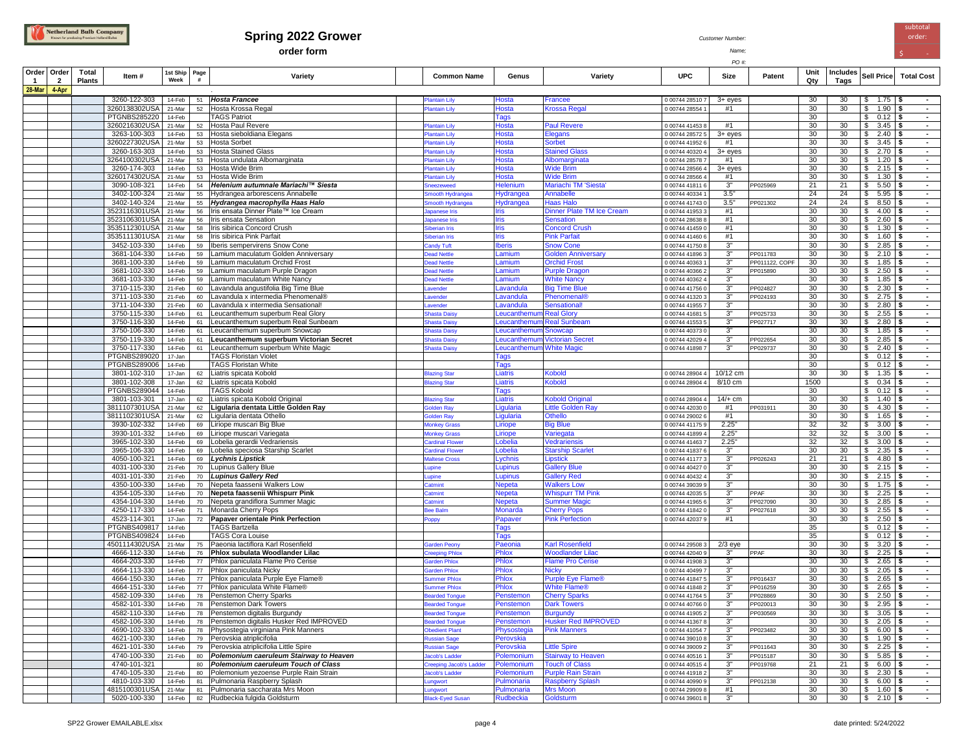

## **Spring 2022 Grower** *Customer Number:*<br> **Spring 2022 Grower** *Customer Number:*

**order form** *Name;* \$ -

*PO #:*

subtotal order:

| Order<br>$\mathbf{1}$ | Order<br>$\overline{2}$ | Total<br><b>Plants</b> | Item#                          | 1st Ship<br>Week | Page<br>$\#$ | Variety                                                                           | <b>Common Name</b>           | Genus                           | Variety                              | <b>UPC</b>                         | Size                 | Patent         | Unit<br>Qty | Includes<br>Tags | Sell Price                                 | <b>Total Cost</b>                  |
|-----------------------|-------------------------|------------------------|--------------------------------|------------------|--------------|-----------------------------------------------------------------------------------|------------------------------|---------------------------------|--------------------------------------|------------------------------------|----------------------|----------------|-------------|------------------|--------------------------------------------|------------------------------------|
| 28-Mar                | 4-Apr                   |                        |                                |                  |              |                                                                                   |                              |                                 |                                      |                                    |                      |                |             |                  |                                            |                                    |
|                       |                         |                        | 3260-122-303                   | 14-Feb           | 51           | Hosta Francee                                                                     | Plantain Lily                | <b>Hosta</b>                    | Francee                              | 0 00744 28510 7                    | $3+$ eyes            |                | 30          | 30               | $\sqrt{3}$<br>$1.75$ \$                    | $\sim$                             |
|                       |                         |                        | 3260138302USA                  | 21-Mar           | 52           | Hosta Krossa Regal                                                                | Plantain Lily                | <b>Hosta</b>                    | <b>Krossa Regal</b>                  | 0 00744 28554                      | #1                   |                | 30          | 30               | $\mathfrak s$<br>$1.90$ \$                 | $\sim$                             |
|                       |                         |                        | <b>PTGNBS285220</b>            | 14-Feb           |              | <b>TAGS Patriot</b>                                                               |                              | Tags                            |                                      |                                    |                      |                | 30          |                  | $0.12$ \$<br>\$                            | $\sim$                             |
|                       |                         |                        | 3260216302USA                  | 21-Mar           | 52           | Hosta Paul Revere                                                                 | lantain Lily                 | Hosta                           | <b>Paul Revere</b>                   | 0 00744 41453 8                    | #1                   |                | 30          | 30               | $3.45$ \\$<br>\$                           | $\sim$                             |
|                       |                         |                        | 3263-100-303                   | 14-Feb           |              | 53 Hosta sieboldiana Elegans                                                      | lantain Lily                 | Hosta                           | Elegans                              | 0 00744 28572 5                    | $3+$ eyes            |                | 30          | 30               | $2.40$ \$<br>\$                            | $\sim$                             |
|                       |                         |                        | 3260227302USA                  | 21-Mar           |              | 53 Hosta Sorbet                                                                   | lantain Lily                 | <b>Hosta</b>                    | <b>Sorbet</b>                        | 0 00744 41952 6                    | #1                   |                | 30          | 30               | 3.45<br>\$                                 | $\sim$<br>l Si                     |
|                       |                         |                        | 3260-163-303                   | 14-Feb           |              | 53 Hosta Stained Glass                                                            | lantain Lily                 | <b>Hosta</b>                    | <b>Stained Glass</b>                 | 0 00744 40320 4                    | $3+$ eyes<br>#1      |                | 30          | 30<br>30         | $2.70$ \$<br>\$                            | $\sim$                             |
|                       |                         |                        | 3264100302USA<br>3260-174-303  | 21-Mar<br>14-Feb |              | 53 Hosta undulata Albomarginata<br>53 Hosta Wide Brim                             | lantain Lily                 | <b>Hosta</b><br><b>Hosta</b>    | Albomarginata<br><b>Wide Brim</b>    | 0 00744 28578 7<br>0 00744 28566 4 | $3+$ eyes            |                | 30<br>30    | 30               | $1.20$ \$<br>\$<br>$2.15$ \$<br>\$         | $\sim$<br>$\sim$                   |
|                       |                         |                        | 3260174302USA                  | 21-Mar           |              | 53 Hosta Wide Brim                                                                | lantain Lily<br>lantain Lily | Hosta                           | <b>Wide Brim</b>                     | 0 00744 28566 4                    | #1                   |                | 30          | 30               | $1.30$   \$<br>\$                          | $\sim$                             |
|                       |                         |                        | 3090-108-321                   | 14-Feb           |              | 54 Helenium autumnale Mariachi™ Siesta                                            | <b>ineezeweed</b>            | Helenium                        | Mariachi TM 'Siesta'                 | 0 00744 41811 6                    | $3^{\circ}$          | PP025969       | 21          | 21               | $$5.50$ \\$                                | $\sim$                             |
|                       |                         |                        | 3402-100-324                   | 21-Mar           |              | 55 Hydrangea arborescens Annabelle                                                | mooth Hydrangea              | Hydrangea                       | Annabelle                            | 0 00744 40334 1                    | 3.5"                 |                | 24          | 24               | $5.95$ \\$<br>\$                           | $\sim$                             |
|                       |                         |                        | 3402-140-324                   | 21-Mar           |              | 55 Hydrangea macrophylla Haas Halo                                                | mooth Hydrangea              | Hydrangea                       | <b>Haas Halo</b>                     | 0 00744 41743 0                    | 3.5"                 | PP021302       | 24          | 24               | $$8.50$ \\$                                | $\sim$                             |
|                       |                         |                        | 3523116301USA                  | 21-Mar           |              | 56   Iris ensata Dinner Plate™ Ice Cream                                          | apanese Iris                 | <b>Iris</b>                     | Dinner Plate TM Ice Cream            | 0 00744 41953 3                    | #1                   |                | 30          | 30               | $4.00$ \ \$<br>\$                          | $\sim$                             |
|                       |                         |                        | 3523106301USA                  | 21-Mar           |              | 56   Iris ensata Sensation                                                        | apanese Iris                 | <b>Iris</b>                     | <b>Sensation</b>                     | 0 00744 28638 8                    | #1                   |                | 30          | 30               | $2.60$ \ \$<br>\$                          | $\sim$                             |
|                       |                         |                        | 3535112301USA                  | 21-Mar           |              | 58   Iris sibirica Concord Crush                                                  | iberian Iris                 | <b>Iris</b>                     | <b>Concord Crush</b>                 | 0 00744 41459 0                    | #1                   |                | 30          | 30               | $1.30$ \ \$<br>\$                          | $\sim$                             |
|                       |                         |                        | 3535111301USA                  | 21-Mar           |              | 58   Iris sibirica Pink Parfait                                                   | iberian Iris                 | <b>Iris</b>                     | <b>Pink Parfait</b>                  | 0 00744 41460 6                    | #1                   |                | 30          | 30               | $1.60$   \$<br>\$                          | $\sim$                             |
|                       |                         |                        | 3452-103-330                   | 14-Feb           |              | 59   Iberis sempervirens Snow Cone                                                | andy Tuft                    | <b>Iberis</b>                   | <b>Snow Cone</b>                     | 0 00744 41750 8                    | 3"                   |                | 30          | 30               | $2.85$ \$<br>\$                            | $\sim$                             |
|                       |                         |                        | 3681-104-330                   | 14-Feb           |              | 59   Lamium maculatum Golden Anniversary                                          | lead Nettle                  | Lamium                          | <b>Golden Anniversary</b>            | 0 00744 41896 3                    | 3"                   | PP011783       | 30          | 30               | \$<br>$2.10$ \$                            | $\sim$                             |
|                       |                         |                        | 3681-100-330                   | 14-Feb           |              | 59 Lamium maculatum Orchid Frost                                                  | ead Nettle                   | Lamium                          | <b>Orchid Frost</b>                  | 0 00744 40363 1                    | 3"                   | PP011122, COPF | 30          | 30               | \$<br>$1.85$ \\$                           | $\sim$                             |
|                       |                         |                        | 3681-102-330                   | 14-Feb           |              | 59 Lamium maculatum Purple Dragon                                                 | ead Nettle                   | Lamium                          | <b>Purple Dragon</b>                 | 0 00744 40366 2                    | 3"                   | PP015890       | 30          | 30               | \$<br>$2.50$ \\$                           | $\sim$                             |
|                       |                         |                        | 3681-103-330                   | 14-Feb           |              | 59 Lamium maculatum White Nancy                                                   | ead Nettle                   | Lamium                          | <b>White Nancy</b>                   | 0 00744 40362 4                    | 3"                   |                | 30          | 30               | \$<br>$1.85$ \\$                           | $\sim$ 10 $\pm$                    |
|                       |                         |                        | 3710-115-330                   | 21-Feb<br>21-Feb |              | 60 Lavandula angustifolia Big Time Blue                                           | avender                      | Lavandula                       | <b>Big Time Blue</b>                 | 0 00744 41756 0                    | 3"<br>3"             | PP024827       | 30<br>30    | 30<br>30         | \$<br>$2.30$ \ \$                          | $\sim$<br>$\sim$                   |
|                       |                         |                        | 3711-103-330<br>3711-104-330   | 21-Feb           |              | 60   Lavandula x intermedia Phenomenal®<br>60 Lavandula x intermedia Sensational! | avender<br>avender           | Lavandula<br>Lavandula          | Phenomenal®<br>Sensational!          | 0 00744 41320 3<br>0 00744 41955 7 | 3"                   | PP024193       | 30          | 30               | $$2.75$ \\$<br>\$<br>$2.80$ \ \$           | $\sim$                             |
|                       |                         |                        | 3750-115-330                   | 14-Feb           |              | 61 Leucanthemum superbum Real Glory                                               | hasta Daisy                  | Leucanthemum Real Glory         |                                      | 0 00744 41681 5                    | 3"                   | PP025733       | 30          | 30               | $2.55$ \$<br>$\mathbb{S}$                  | $\sim$                             |
|                       |                         |                        | 3750-116-330                   | 14-Feb           |              | 61 Leucanthemum superbum Real Sunbeam                                             | hasta Daisy                  |                                 | Leucanthemum Real Sunbeam            | 0 00744 41553                      | 3"                   | PP027717       | 30          | 30               | $\mathbb{S}$<br>$2.80$ \$                  |                                    |
|                       |                         |                        | 3750-106-330                   | 14-Feb           |              | 61   Leucanthemum superbum Snowcap                                                | hasta Daisy                  | <b>Leucanthemum Snowcap</b>     |                                      | 0 00744 40373                      | 3"                   |                | 30          | 30               | $1.85$ \\$<br>\$                           | $\sim$                             |
|                       |                         |                        | 3750-119-330                   | 14-Feb           |              | 61 Leucanthemum superbum Victorian Secret                                         | hasta Daisy                  |                                 | <b>Leucanthemum</b> Victorian Secret | 0 00744 42029 4                    | 3"                   | P022654        | 30          | 30               | $2.85$ \$<br>\$                            | $\sim$ 10 $\pm$                    |
|                       |                         |                        | 3750-117-330                   | 14-Feb           | 61           | Leucanthemum superbum White Magic                                                 | hasta Daisy                  | <b>Leucanthemum</b> White Magic |                                      | 0 00744 41898 7                    | 3"                   | PP029737       | 30          | 30               | \$<br>$2.40$ \ \$                          | $\sim$                             |
|                       |                         |                        | PTGNBS289020                   | 17-Jan           |              | <b>TAGS Floristan Violet</b>                                                      |                              | <b>Tags</b>                     |                                      |                                    |                      |                | 30          |                  | $$0.12$ \$                                 | $\sim$                             |
|                       |                         |                        | <b>PTGNBS289006</b>            | 14-Feb           |              | <b>TAGS Floristan White</b>                                                       |                              | <b>Tags</b>                     |                                      |                                    |                      |                | 30          |                  | $$0.12$ \ \ \$                             | $\sim$                             |
|                       |                         |                        | 3801-102-310                   | 17-Jan           | 62           | Liatris spicata Kobold                                                            | lazing Star                  | Liatris                         | <b>Kobold</b>                        | 0 00744 28904 4                    | 10/12 cm             |                | 30          | 30               | $1.35$ \$<br>\$                            | $\sim$                             |
|                       |                         |                        | 3801-102-308                   | 17-Jan           | 62           | Liatris spicata Kobold                                                            | lazing Star                  | Liatris                         | <b>Kobold</b>                        | 0 00744 28904 4                    | 8/10 cm              |                | 1500        |                  | $$0.34$ \ \$                               | $\sim$                             |
|                       |                         |                        | PTGNBS289044                   | 14-Feb           |              | <b>TAGS Kobold</b>                                                                |                              | <b>Tags</b>                     |                                      |                                    |                      |                | 30          |                  | $\mathbb{S}$<br>$0.12$ \$                  | $\sim$                             |
|                       |                         |                        | 3801-103-301                   | 17-Jan           | 62           | Liatris spicata Kobold Original                                                   | lazing Star                  | <b>Liatris</b>                  | <b>Kobold Origina</b>                | 0 00744 28904 4                    | $14/+$ cm            |                | 30          | 30               | \$<br>$1.40$   \$                          | $\sim$                             |
|                       |                         |                        | 3811107301USA<br>3811102301USA | 21-Mar           | 62           | Ligularia dentata Little Golden Ray<br>62 Ligularia dentata Othello               | olden Ray<br>olden Ray       | Ligularia<br>Ligularia          | <b>Little Golden Ray</b><br>Othello  | 0 00744 42030 0<br>0 00744 29002 6 | #1<br>#1             | PP031911       | 30<br>30    | 30<br>30         | \$<br>4.30 S<br>$\sqrt{3}$<br>$1.65$ \$    | $\sim$<br>$\overline{\phantom{a}}$ |
|                       |                         |                        | 3930-102-332                   | 21-Mar<br>14-Feb |              | 69 Liriope muscari Big Blue                                                       | <b>Monkey Grass</b>          | Liriope                         | <b>Big Blue</b>                      | 0 00744 41175 9                    | 2.25"                |                | 32          | 32               | \$<br>$3.00$ \$                            | $\sim$                             |
|                       |                         |                        | 3930-101-332                   | 14-Feb           | 69           | Liriope muscari Variegata                                                         | <b>Monkey Grass</b>          | Liriope                         | Variegata                            | 0 00744 41899 4                    | 2.25"                |                | 32          | 32               | $\overline{\mathcal{S}}$<br>$3.00$ \$      | ÷                                  |
|                       |                         |                        | 3965-102-330                   | 14-Feb           | 69           | Lobelia gerardii Vedrariensis                                                     | ardinal Flower               | Lobelia                         | Vedrariensis                         | 0 00744 41463 7                    | 2.25"                |                | 32          | 32               | \$<br>$3.00$ \$                            | $\sim$                             |
|                       |                         |                        | 3965-106-330                   | 14-Feb           | 69           | Lobelia speciosa Starship Scarlet                                                 | ardinal Flowe                | Lobelia                         | <b>Starship Scarlet</b>              | 0 00744 41837 0                    | 3 <sup>''</sup>      |                | 30          | 30               | $\overline{\mathcal{S}}$<br>$2.35$ \$      | $\mathcal{L}^{\mathcal{L}}$        |
|                       |                         |                        | 4050-100-321                   | 14-Feb           |              | 69 Lychnis Lipstick                                                               | laltese Cross                | Lychnis                         | Lipstick                             | 0 00744 41177 3                    | 3"                   | PP026243       | 21          | 21               | $\mathbb{S}$<br>4.80 $\frac{1}{9}$         | $\sim$                             |
|                       |                         |                        | 4031-100-330                   | 21-Feb           |              | 70 Lupinus Gallery Blue                                                           | ipine                        | Lupinus                         | <b>Gallery Blue</b>                  | 0 00744 40427 0                    | $3^{\circ}$          |                | 30          | 30               | $\mathbf{s}$<br>$2.15$ \$                  | $\sim$                             |
|                       |                         |                        | 4031-101-330                   | 21-Feb           |              | 70 Lupinus Gallery Red                                                            | upine                        | Lupinus                         | <b>Gallery Red</b>                   | 0 00744 40432 4                    | 3"                   |                | 30          | 30               | $\overline{\mathbf{s}}$<br>$2.15$ \$       | $\sim$                             |
|                       |                         |                        | 4350-100-330                   | 14-Feb           |              | 70 Nepeta faassenii Walkers Low                                                   | atmint                       | <b>Nepeta</b>                   | <b>Walkers Low</b>                   | 0 00744 39039 9                    | $3^{\circ}$          |                | 30          | 30               | \$<br>$1.75$ \\$                           | $\sim$                             |
|                       |                         |                        | 4354-105-330                   | 14-Feb           |              | 70 Nepeta faassenii Whispurr Pink                                                 | atmint                       | <b>Nepeta</b>                   | <b>Whispurr TM Pink</b>              | 0 00744 42035 5                    | 3"                   | PPAF           | 30          | 30               | $\overline{\mathbf{s}}$<br>$2.25$ \$       | $\sim$                             |
|                       |                         |                        | 4354-104-330                   | 14-Feb           |              | 70 Nepeta grandiflora Summer Magic                                                | atmint                       | <b>Nepeta</b>                   | <b>Summer Magic</b>                  | 0 00744 41965 6                    | 3"                   | PP027090       | 30          | 30               | \$<br>$2.85$ \$                            | $\sim$                             |
|                       |                         |                        | 4250-117-330                   | 14-Feb           |              | 71 Monarda Cherry Pops                                                            | lee Balm                     | <b>Monarda</b>                  | <b>Cherry Pops</b>                   | 0 00744 41842 0                    | 3"                   | PP027618       | 30          | 30               | $\overline{\mathbf{s}}$<br>$2.55$ \$<br>\$ | $\sim$<br>$\sim$                   |
|                       |                         |                        | 4523-114-301<br>PTGNBS409817   | 17-Jan<br>14-Feb |              | 72 Papaver orientale Pink Perfection<br><b>TAGS Bartzella</b>                     | oppy                         | Papaver<br><b>Tags</b>          | <b>Pink Perfection</b>               | 0 00744 42037 9                    | #1                   |                | 30<br>35    | 30               | $2.50$ \$<br>$\mathfrak s$<br>$0.12$ \$    | $\sim$                             |
|                       |                         |                        | PTGNBS409824                   | 14-Feb           |              | <b>TAGS Cora Louise</b>                                                           |                              | <b>Tags</b>                     |                                      |                                    |                      |                | 35          |                  | \$<br>$0.12$ \\$                           | $\sim$                             |
|                       |                         |                        | 4501114302USA                  | 21-Mar           | 75           | Paeonia lactiflora Karl Rosenfield                                                | Sarden Peony                 | Paeonia                         | <b>Karl Rosenfield</b>               | 0 00744 29508 3                    | $2/3$ eye            |                | 30          | 30               | \$<br>$3.20$ \ \\$                         | $\sim$                             |
|                       |                         |                        | 4666-112-330                   | 14-Feb           |              | 76 Phlox subulata Woodlander Lilac                                                | reeping Phlox                | <b>Phlox</b>                    | <b>Woodlander Lilac</b>              | 0 00744 42040 9                    | 3"                   | PPAF           | 30          | 30               | $2.25$ \\$<br>\$                           | $\sim$                             |
|                       |                         |                        | 4664-203-330                   | 14-Feb           |              | 77 Phlox paniculata Flame Pro Cerise                                              | arden Phlox                  | Phlox                           | <b>Flame Pro Cerise</b>              | 0 00744 41908 3                    | $3^{\circ}$          |                | 30          | 30               | $2.65$ \$<br>\$                            | $\sim$                             |
|                       |                         |                        | 4664-113-330                   | 14-Feb           |              | 77 Phlox paniculata Nicky                                                         | <b>Sarden Phlox</b>          | Phlox                           | Nicky                                | 0 00744 40499 7                    | 3 <sup>n</sup>       |                | 30          | 30               | $2.05$ \$<br>\$                            | $\sim$                             |
|                       |                         |                        | 4664-150-330                   | 14-Feb           |              | 77 Phlox paniculata Purple Eye Flame®                                             | ummer Phlox                  | Phlox                           | <b>Purple Eye Flame®</b>             | 0 00744 41847 5                    | 3"                   | PP016437       | 30          | 30               | \$<br>$2.65$ \$                            | $\sim$                             |
|                       |                         |                        | 4664-151-330                   | 14-Feb           |              | 77 Phlox paniculata White Flame®                                                  | ummer Phlox                  | Phlox                           | <b>White Flame®</b>                  | 0 00744 41848 2                    | 3"                   | PP016259       | 30          | 30               | \$<br>$2.65$ \\$                           | $\blacksquare$                     |
|                       |                         |                        | 4582-109-330                   | 14-Feb           |              | 78 Penstemon Cherry Sparks                                                        | earded Tongue                | Penstemon                       | <b>Cherry Sparks</b>                 | 0 00744 41764 5                    | 3 <sup>1</sup>       | PP028869       | 30          | 30               | \$<br>$2.50$ \\$                           | $\blacksquare$                     |
|                       |                         |                        | 4582-101-330                   | 14-Feb           |              | 78 Penstemon Dark Towers                                                          | arded Tongue                 | Penstemon                       | <b>Dark Towers</b>                   | 0 00744 40766 0                    | 3"                   | PP020013       | 30          | 30               | \$<br>$2.95$ \$                            |                                    |
|                       |                         |                        | 4582-110-330                   | 14-Feb           |              | 78 Penstemon digitalis Burgundy                                                   | earded Tongue                | Penstemon                       | <b>Burgundy</b>                      | 0 00744 41905 2                    | 3 <sup>1</sup>       | PP030569       | 30          | 30               | \$<br>$3.05$ \\$                           |                                    |
|                       |                         |                        | 4582-106-330                   | 14-Feb           |              | 78 Penstemon digitalis Husker Red IMPROVED                                        | rded Tongue                  | Penstemon                       | Husker Red IMPROVED                  | 0 00744 41367 8                    | 3"                   |                | 30          | 30               | \$<br>$2.05$ \$                            |                                    |
|                       |                         |                        | 4690-102-330<br>4621-100-330   | 14-Feb           |              | 78 Physostegia virginiana Pink Manners<br>79 Perovskia atriplicifolia             | bedient Plant                | Physostegia<br>Perovskia        | <b>Pink Manners</b>                  | 0 00744 41054 7                    | 3 <sup>1</sup><br>3" | PP023482       | 30<br>30    | 30<br>30         | \$<br>$6.00$ \ \$<br>\$<br>$1.90$ \\$      |                                    |
|                       |                         |                        | 4621-101-330                   | 14-Feb<br>14-Feb |              | 79 Perovskia atriplicifolia Little Spire                                          | ussian Sage<br>ussian Sage   | Perovskia                       | <b>Little Spire</b>                  | 0 00744 39010 8<br>0 00744 39009 2 | 3 <sup>n</sup>       | PP011643       | 30          | 30               | \$<br>$2.25$ \$                            |                                    |
|                       |                         |                        | 4740-100-330                   | 21-Feb           |              | 80 Polemonium caeruleum Stairway to Heaven                                        | acob's Ladder                | Polemonium                      | <b>Stairway to Heaven</b>            | 0 00744 40516 1                    | 3"                   | PP015187       | 30          | 30               | $5.85$ \$<br>\$                            |                                    |
|                       |                         |                        | 4740-101-321                   |                  |              | 80 Polemonium caeruleum Touch of Class                                            | reeping Jacob's Ladder       | Polemonium                      | <b>Touch of Class</b>                | 0 00744 40515 4                    | 3"                   | PP019768       | 21          | 21               | \$<br>$6.00$ S                             |                                    |
|                       |                         |                        | 4740-105-330                   | 21-Feb           |              | 80 Polemonium yezoense Purple Rain Strain                                         | acob's Ladder                | Polemonium                      | <b>Purple Rain Strain</b>            | 0 00744 41918 2                    | 3"                   |                | 30          | 30               | 2.30<br>\$                                 |                                    |
|                       |                         |                        | 4810-103-330                   | 14-Feb           |              | 81 Pulmonaria Raspberry Splash                                                    | ungwort                      | Pulmonaria                      | <b>Raspberry Splash</b>              | 0 00744 40990 9                    | 3"                   | PP012138       | 30          | 30               | \$<br>6.00                                 | l S<br>$\sim$                      |
|                       |                         |                        | 4815100301USA                  | 21-Mar           |              | 81 Pulmonaria saccharata Mrs Moon                                                 | ungwort                      | Pulmonaria                      | <b>Mrs Moon</b>                      | 0 00744 29909 8                    | #1                   |                | 30          | 30               | \$<br>$1.60$ \ \$                          | $\sim$                             |
|                       |                         |                        | 5020-100-330                   | 14-Feb           |              | 82 Rudbeckia fulgida Goldsturm                                                    | <b>Black-Eyed Susan</b>      | <b>Rudbeckia</b>                | Goldsturm                            | 0 00744 39601 8                    | 3"                   |                | 30          | 30               | \$<br>$2.10$ \\$                           |                                    |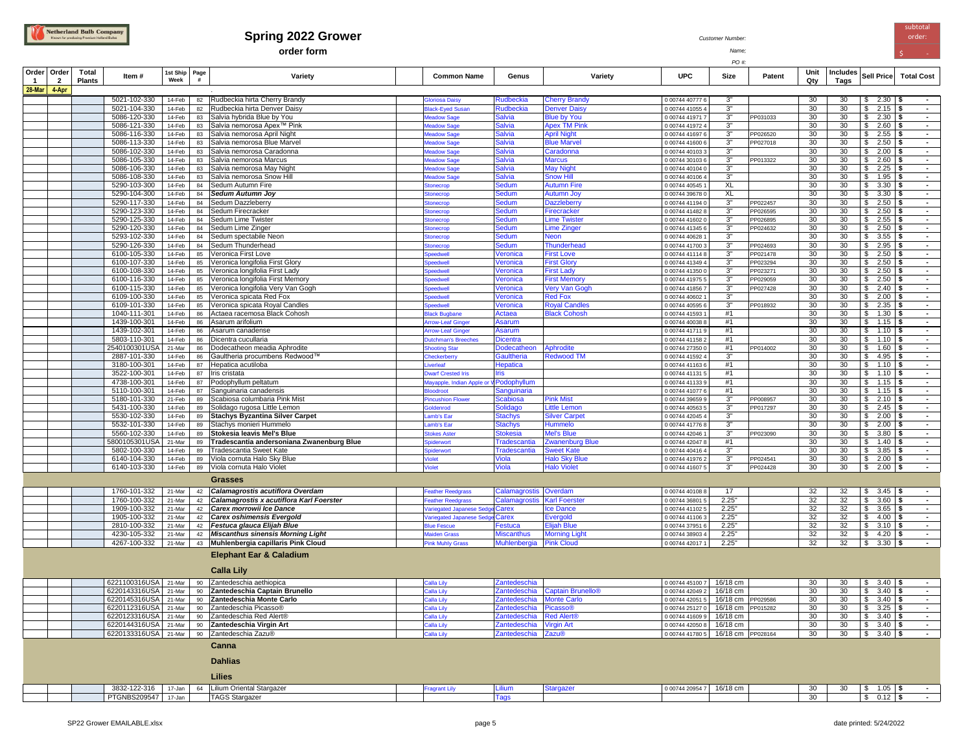## **Spring 2022 Grower** *Customer Number:*<br> **Spring 2022 Grower** *Customer Number:*

**order form** *Name;* \$ -

*PO #:*

| Order<br>$\mathbf{1}$ | Order<br>$\overline{2}$ | Total<br><b>Plants</b> | Item#                                        | 1st Ship<br>Week | Page<br># | Variety                                                                           | <b>Common Name</b>               | Genus                             | Variety                                   | <b>UPC</b>                         | Size                 | Patent               | Unit<br>Qty | Includes<br>Tags | Sell Price                                                         | <b>Total Cost</b>                |
|-----------------------|-------------------------|------------------------|----------------------------------------------|------------------|-----------|-----------------------------------------------------------------------------------|----------------------------------|-----------------------------------|-------------------------------------------|------------------------------------|----------------------|----------------------|-------------|------------------|--------------------------------------------------------------------|----------------------------------|
| 28-Mar 4-Apr          |                         |                        |                                              |                  |           |                                                                                   |                                  |                                   |                                           |                                    |                      |                      |             |                  |                                                                    |                                  |
|                       |                         |                        | 5021-102-330                                 | 14-Feb           |           | 82 Rudbeckia hirta Cherry Brandy                                                  | <b>Ioriosa Daisy</b>             | Rudbeckia                         | <b>Cherry Brandy</b>                      | 0 00744 40777 6                    | 3"                   |                      | 30          | 30 <sup>2</sup>  | $$2.30$ \\$                                                        | $\sim$                           |
|                       |                         |                        | 5021-104-330                                 | 14-Feb           | 82        | Rudbeckia hirta Denver Daisy                                                      | lack-Eyed Susan                  | Rudbeckia                         | <b>Denver Daisy</b>                       | 0 00744 41055 4                    | $3"$                 |                      | 30          | 30               | 2.15<br>\$                                                         | $\blacksquare$                   |
|                       |                         |                        | 5086-120-330                                 | 14-Feb           | 83        | Salvia hybrida Blue by You                                                        | leadow Sage                      | <b>Salvia</b>                     | <b>Blue by You</b>                        | 0 00744 41971 7                    | 3"                   | PP031033             | 30          | 30               | $2.30$ \$<br>\$                                                    | $\overline{\phantom{a}}$         |
|                       |                         |                        | 5086-121-330                                 | 14-Feb           | 83        | Salvia nemorosa Apex™ Pink                                                        | leadow Sage                      | <b>Salvia</b>                     | <b>Apex TM Pink</b>                       | 0 00744 41972 4                    | 3"                   |                      | 30          | 30               | $2.60$ \$<br>\$                                                    | $\sim$                           |
|                       |                         |                        | 5086-116-330<br>5086-113-330                 | 14-Feb<br>14-Feb | 83<br>83  | Salvia nemorosa April Night<br>Salvia nemorosa Blue Marvel                        | leadow Sage<br>leadow Sage       | <b>Salvia</b><br><b>Salvia</b>    | <b>April Night</b><br><b>Blue Marvel</b>  | 0 00744 41697 6<br>0 00744 41600 6 | 3"<br>3"             | PP026520<br>PP027018 | 30<br>30    | 30<br>30         | $2.55$ \$<br>\$<br>$2.50$ \\$<br>\$                                | $\blacksquare$<br>$\sim$         |
|                       |                         |                        | 5086-102-330                                 | 14-Feb           | 83        | Salvia nemorosa Caradonna                                                         | leadow Sage                      | <b>Salvia</b>                     | Caradonna                                 | 0 00744 40103 3                    | 3"                   |                      | 30          | 30               | $2.00$ \$<br>\$                                                    | $\blacksquare$                   |
|                       |                         |                        | 5086-105-330                                 | 14-Feb           | 83        | Salvia nemorosa Marcus                                                            | leadow Sage                      | <b>Salvia</b>                     | <b>Marcus</b>                             | 0 00744 30103 6                    | 3"                   | PP013322             | 30          | 30               | \$<br>$2.60$   \$                                                  | $\blacksquare$                   |
|                       |                         |                        | 5086-106-330                                 | 14-Feb           | 83        | Salvia nemorosa May Night                                                         | leadow Sage                      | <b>Salvia</b>                     | <b>May Night</b>                          | 0 00744 40104 0                    | 3"                   |                      | 30          | 30               | $$2.25$ \\$                                                        | $\sim$                           |
|                       |                         |                        | 5086-108-330                                 | 14-Feb           | 83        | Salvia nemorosa Snow Hill                                                         | Meadow Sage                      | <b>Salvia</b>                     | <b>Snow Hill</b>                          | 0 00744 40106 4                    | 3"                   |                      | 30          | 30               | \$<br>$1.95$   \$                                                  | $\sim$                           |
|                       |                         |                        | 5290-103-300<br>5290-104-300                 | 14-Feb<br>14-Feb | 84<br>84  | Sedum Autumn Fire<br><b>Sedum Autumn Joy</b>                                      | tonecrop<br>tonecrop             | <b>Sedum</b><br>Sedum             | <b>Autumn Fire</b><br><b>Autumn Joy</b>   | 0 00744 40545<br>0 00744 39678     | XL<br>XL             |                      | 30<br>30    | 30<br>30         | \$<br>$3.30$ \ \ \$<br>$\mathfrak s$<br>$3.30$ \$                  | $\blacksquare$<br>$\blacksquare$ |
|                       |                         |                        | 5290-117-330                                 | 14-Feb           | 84        | Sedum Dazzleberry                                                                 | tonecrop                         | <b>Sedum</b>                      | <b>Dazzleberry</b>                        | 0 00744 41194 0                    | 3"                   | PP022457             | 30          | 30               | $$2.50$ \\$                                                        | $\blacksquare$                   |
|                       |                         |                        | 5290-123-330                                 | 14-Feb           | 84        | Sedum Firecracker                                                                 | tonecrop                         | <b>Sedum</b>                      | Firecracker                               | 0 00744 41482 8                    | 3"                   | PP026595             | 30          | 30               | $2.50$ \$<br>\$                                                    | $\blacksquare$                   |
|                       |                         |                        | 5290-125-330                                 | 14-Feb           | 84        | Sedum Lime Twister                                                                | tonecrop                         | <b>Sedum</b>                      | <b>Lime Twister</b>                       | 0 00744 41602 0                    | 3"                   | PP026895             | 30          | 30               | $$2.55$ \\$                                                        | $\blacksquare$                   |
|                       |                         |                        | 5290-120-330                                 | 14-Feb           | 84        | Sedum Lime Zinger                                                                 | onecrop                          | <b>Sedum</b>                      | <b>Lime Zinger</b>                        | 0 00744 41345 6                    | 3"                   | PP024632             | 30          | 30               | $2.50$ \$<br>\$                                                    | $\blacksquare$                   |
|                       |                         |                        | 5293-102-330<br>5290-126-330                 | 14-Feb<br>14-Feb | 84<br>84  | Sedum spectabile Neon<br>Sedum Thunderhead                                        | onecrop<br>onecrop               | <b>Sedum</b><br><b>Sedum</b>      | Neon<br>Thunderhead                       | 0 00744 40628<br>0 00744 41700 3   | 3"<br>3"             | PP024693             | 30<br>30    | 30<br>30         | $3.55$ \\$<br>\$<br>\$<br>$2.95$ \\$                               | $\sim$                           |
|                       |                         |                        | 6100-105-330                                 | 14-Feb           | 85        | Veronica First Love                                                               | needwell                         | Veronica                          | <b>First Love</b>                         | 0.00744 41114 8                    | 3"                   | PP021478             | 30          | 30               | \$<br>$2.50$ \ \$                                                  | $\blacksquare$                   |
|                       |                         |                        | 6100-107-330                                 | 14-Feb           | 85        | Veronica longifolia First Glory                                                   | needwell                         | Veronica                          | <b>First Glory</b>                        | 0 00744 41349 4                    | 3"                   | PP023294             | 30          | 30               | \$<br>$2.50$ \ \$                                                  | $\sim$                           |
|                       |                         |                        | 6100-108-330                                 | 14-Feb           | 85        | Veronica longifolia First Lady                                                    | needwell                         | Veronica                          | <b>First Ladv</b>                         | 0.00744 41350 0                    | 3"                   | PP023271             | 30          | 30               | \$<br>$2.50$ \\$                                                   | $\blacksquare$                   |
|                       |                         |                        | 6100-116-330                                 | 14-Feb           | 85        | Veronica longifolia First Memory                                                  | ineedwel                         | Veronica                          | <b>First Memory</b>                       | 0 00744 41975 5                    | 3"                   | PP029059             | 30          | 30               | \$<br>$2.50$ \\$                                                   | $\blacksquare$                   |
|                       |                         |                        | 6100-115-330<br>6109-100-330                 | 14-Feb           | 85        | Veronica longifolia Very Van Gogh                                                 | peedwell<br>needwell             | Veronica<br>Veronica              | <b>Very Van Gogh</b><br><b>Red Fox</b>    | 0 00744 41856 7<br>0 00744 40602   | 3"<br>3"             | PP027428             | 30<br>30    | 30<br>30         | \$<br>$2.40$ \\$<br>\$<br>$2.00$   \$                              | $\blacksquare$<br>$\blacksquare$ |
|                       |                         |                        | 6109-101-330                                 | 14-Feb<br>14-Feb | 85<br>85  | Veronica spicata Red Fox<br>Veronica spicata Royal Candles                        | needwell                         | Veronica                          | <b>Royal Candles</b>                      | 0 00744 40595 6                    | 3"                   | PP018932             | 30          | 30               | \$<br>$2.35$ \$                                                    | $\sim$                           |
|                       |                         |                        | 1040-111-301                                 | 14-Feb           | 86        | Actaea racemosa Black Cohosh                                                      | lack Bugban                      | Actaea                            | <b>Black Cohosh</b>                       | 0 00744 41593                      | #1                   |                      | 30          | 30               | S.<br>$1.30$ \$                                                    | $\blacksquare$                   |
|                       |                         |                        | 1439-100-301                                 | 14-Feb           | 86        | Asarum arifolium                                                                  | <b>trow-Leaf Ginger</b>          | Asarum                            |                                           | 0 00744 40038 8                    | #1                   |                      | 30          | 30               | $\mathfrak s$<br>$1.15$ \$                                         | $\blacksquare$                   |
|                       |                         |                        | 1439-102-301                                 | 14-Feb           | 86        | Asarum canadense                                                                  | rrow-Leaf Ginger                 | Asarum                            |                                           | 0 00744 41711 9                    | #1                   |                      | 30          | 30               | $1.10$ \$<br>\$                                                    | $\blacksquare$                   |
|                       |                         |                        | 5803-110-301                                 | 14-Feb           | 86        | Dicentra cucullaria                                                               | utchman's Breeches               | <b>Dicentra</b>                   |                                           | 0 00744 41158 2                    | #1<br>#1             |                      | 30<br>30    | 30               | $1.10$ \$<br>\$<br>S.                                              | $\blacksquare$<br>$\blacksquare$ |
|                       |                         |                        | 2540100301USA<br>2887-101-330                | 21-Mar<br>14-Feb | 86<br>86  | Dodecatheon meadia Aphrodite<br>Gaultheria procumbens Redwood™                    | hooting Star<br>heckerbern       | Dodecatheon<br><b>Gaultheria</b>  | Aphrodite<br><b>Redwood TM</b>            | 0 00744 27350 0<br>0 00744 41592 4 | 3"                   | PP014002             | 30          | 30<br>30         | $1.60$ \$<br>$4.95$ \$<br>\$                                       | $\blacksquare$                   |
|                       |                         |                        | 3180-100-301                                 | 14-Feb           | 87        | Hepatica acutiloba                                                                | erleaf                           | <b>Hepatica</b>                   |                                           | 0 00744 41163 6                    | #1                   |                      | 30          | 30               | \$<br>$1.10$ \$                                                    | $\blacksquare$                   |
|                       |                         |                        | 3522-100-301                                 | 14-Feb           | 87        | Iris cristata                                                                     | warf Crested Iris                | Iris                              |                                           | 0 00744 41131 5                    | #1                   |                      | 30          | 30               | \$<br>$1.10$ \$                                                    | $\sim$                           |
|                       |                         |                        | 4738-100-301                                 | 14-Feb           | 87        | Podophyllum peltatum                                                              | ayapple, Indian Apple or V       | Podophyllum                       |                                           | 0 00744 41133 9                    | #1                   |                      | 30          | 30               | \$<br>$1.15$ \$                                                    | $\blacksquare$                   |
|                       |                         |                        | 5110-100-301                                 | 14-Feb           | 87        | Sanguinaria canadensis                                                            |                                  | Sanguinaria                       |                                           | 0 00744 41077 6                    | #1                   |                      | 30          | 30               | S.<br>$1.15$ \\$                                                   | $\blacksquare$                   |
|                       |                         |                        | 5180-101-330<br>5431-100-330                 | 21-Feb<br>14-Feb | 89<br>89  | Scabiosa columbaria Pink Mist<br>Solidago rugosa Little Lemon                     | incushion Flower<br>oldenrod     | <b>Scabiosa</b><br>Solidago       | <b>Pink Mist</b><br><b>Little Lemon</b>   | 0 00744 39659 9<br>0 00744 40563 5 | 3"<br>$3^{\circ}$    | PP008957<br>PP017297 | 30<br>30    | 30<br>30         | $\overline{\mathbf{3}}$<br>$2.10$ \$<br>$\mathbf{s}$<br>$2.45$ \\$ | $\blacksquare$<br>$\sim$         |
|                       |                         |                        | 5530-102-330                                 | 14-Feb           | 89        | <b>Stachys Byzantina Silver Carpet</b>                                            | amb's Ear                        | <b>Stachys</b>                    | <b>Silver Carpet</b>                      | 0 00744 42045 4                    | 3"                   |                      | 30          | 30               | $\sqrt{2}$<br>$2.00$ \ \ \$                                        | $\sim$                           |
|                       |                         |                        | 5532-101-330                                 | 14-Feb           | 89        | Stachys monieri Hummelo                                                           | mb's Ear                         | <b>Stachys</b>                    | Hummelo                                   | 0 00744 41776 8                    | 3"                   |                      | 30          | 30               | \$<br>$2.00$ \\$                                                   | $\blacksquare$                   |
|                       |                         |                        | 5560-102-330                                 | 14-Feb           | 89        | Stokesia leavis Mel's Blue                                                        | tokes Aster                      | <b>Stokesia</b>                   | <b>Mel's Blue</b>                         | 0 00744 42046 1                    | 3 <sup>n</sup>       | PP023090             | 30          | 30               | \$<br>$3.80$ \ \ \$                                                | $\sim$                           |
|                       |                         |                        | 5800105301USA                                | 21-Mar           | 89        | Tradescantia andersoniana Zwanenburg Blue                                         | <b>biderwort</b>                 | <b>Tradescantia</b>               | <b>Zwanenburg Blue</b>                    | 0 00744 42047 8                    | #1<br>3"             |                      | 30<br>30    | 30               | \$<br>$1.40$ \ \$                                                  | $\blacksquare$                   |
|                       |                         |                        | 5802-100-330<br>6140-104-330                 | 14-Feb<br>14-Feb | 89<br>89  | Tradescantia Sweet Kate<br>Viola cornuta Halo Sky Blue                            | piderwort<br>iolet               | <b>Tradescantia</b><br>Viola      | Sweet Kate<br><b>Halo Sky Blue</b>        | 00744 40416 4<br>0 00744 41976 2   | 3"                   | PP024541             | 30          | 30<br>30         | \$<br>$3.85$ \\$<br>\$<br>$2.00$ \ \$                              | $\bullet$<br>$\bullet$           |
|                       |                         |                        | 6140-103-330                                 | 14-Feb           |           | 89 Viola cornuta Halo Violet                                                      | iolet                            | <b>Viola</b>                      | <b>Halo Violet</b>                        | 0 00744 41607 5                    | $3^{\circ}$          | PP024428             | 30          | 30               | $$2.00$ \\$                                                        | $\sim$                           |
|                       |                         |                        |                                              |                  |           | Grasses                                                                           |                                  |                                   |                                           |                                    |                      |                      |             |                  |                                                                    |                                  |
|                       |                         |                        | 1760-101-332                                 | 21-Mar           |           | Calamagrostis acutiflora Overdam                                                  | eather Reedgrass                 | Calamagrostis Overdam             |                                           | 0 00744 40108 8                    | 17                   |                      | 32          | 32               | \$<br>$3.45$ \\$                                                   | $\blacksquare$                   |
|                       |                         |                        | 1760-100-332                                 | 21-Mar           | 42<br>42  | Calamagrostis x acutiflora Karl Foerster                                          | eather Reedgrass                 | Calamagrostis                     | <b>Karl Foerster</b>                      | 0 00744 36801 5                    | 2.25"                |                      | 32          | 32               | \$<br>$3.60$   \$                                                  | $\sim$                           |
|                       |                         |                        | 1909-100-332                                 | 21-Mar           | 42        | Carex morrowii Ice Dance                                                          | ariegated Japanese Sed           | Carex                             | <b>Ice Dance</b>                          | 0 00744 41102 5                    | 2.25"                |                      | 32          | 32               | \$<br>$3.65$ \\$                                                   | $\blacksquare$                   |
|                       |                         |                        | 1905-100-332                                 | 21-Mar           | 42        | <b>Carex oshimensis Evergold</b>                                                  | ariegated Japanese Sed           | Carex                             | <b>Evergold</b>                           | 0 00744 41106 3                    | 2.25"                |                      | 32          | 32               | \$<br>$4.00$ \\$                                                   | $\blacksquare$                   |
|                       |                         |                        | 2810-100-332                                 | 21-Mar           | 42        | Festuca glauca Elijah Blue                                                        | <b>Ilue Fescue</b>               | Festuca                           | <b>Elijah Blue</b>                        | 0 00744 37951 6                    | 2.25"                |                      | 32          | 32               | $\mathbb{S}$<br>$3.10$ \$                                          | $\blacksquare$                   |
|                       |                         |                        | 4230-105-332<br>4267-100-332                 | 21-Mar<br>21-Mar | 42        | <b>Miscanthus sinensis Morning Light</b><br>43 Muhlenbergia capillaris Pink Cloud | laiden Grass<br>Pink Muhly Grass | <b>Miscanthus</b><br>Muhlenbergia | <b>Morning Light</b><br><b>Pink Cloud</b> | 0 00744 38903 4<br>0 00744 42017 1 | 2.25"<br>2.25"       |                      | 32<br>32    | 32<br>32         | \$<br>$4.20$ \$<br>$\sqrt{3}$<br>$3.30$ \$                         | $\sim$<br>$\overline{a}$         |
|                       |                         |                        |                                              |                  |           |                                                                                   |                                  |                                   |                                           |                                    |                      |                      |             |                  |                                                                    |                                  |
|                       |                         |                        |                                              |                  |           | <b>Elephant Ear &amp; Caladium</b>                                                |                                  |                                   |                                           |                                    |                      |                      |             |                  |                                                                    |                                  |
|                       |                         |                        |                                              |                  |           | <b>Calla Lily</b>                                                                 |                                  |                                   |                                           |                                    |                      |                      |             |                  |                                                                    |                                  |
|                       |                         |                        | 6221100316USA 21-Mar                         |                  |           | 90 Zantedeschia aethiopica                                                        | alla Lily                        | Zantedeschia                      |                                           | 0 00744 45100 7                    | 16/18 cm             |                      | 30          | 30               | $$3.40$ \\$                                                        |                                  |
|                       |                         |                        | 6220143316USA 21-Mar                         |                  | 90        | Zantedeschia Captain Brunello                                                     | alla Lily                        |                                   | Zantedeschia Captain Brunello®            | 00744 42049 2                      | 16/18 cm             |                      | 30          | 30               | $3.40$ \ \$<br>\$                                                  |                                  |
|                       |                         |                        | 6220145316USA 21-Mar                         |                  | 90        | Zantedeschia Monte Carlo                                                          | alla Lily                        | Zantedeschia                      | <b>Monte Carlo</b>                        | 00744 42051 5                      | 16/18 cm             | PP029586             | 30          | 30               | \$<br>$3.40$ \$                                                    | $\blacksquare$                   |
|                       |                         |                        | 6220112316USA 21-Mar                         |                  | 90        | Zantedeschia Picasso®                                                             | alla Lily                        | Zantedeschia Picasso®             |                                           | 0 00744 25127 0                    | 16/18 cm             | PP015282             | 30          | 30               | $3.25$ \$<br>\$                                                    | $\blacksquare$                   |
|                       |                         |                        | 6220123316USA 21-Mar<br>6220144316USA 21-Mar |                  | 90<br>90  | Zantedeschia Red Alert®<br>Zantedeschia Virgin Art                                | alla Lily<br>alla Lilv           | Zantedeschia<br>Zantedeschia      | <b>Red Alert®</b><br><b>Virgin Art</b>    | 0 00744 41609 9<br>0 00744 42050 8 | 16/18 cm<br>16/18 cm |                      | 30<br>30    | 30<br>30         | $3.40$ \$<br>\$<br>$3.40$ \$<br>\$                                 | $\blacksquare$<br>$\sim$         |
|                       |                         |                        | 6220133316USA 21-Mar                         |                  |           | 90 Zantedeschia Zazu®                                                             | alla Lily                        | Zantedeschia Zazu®                |                                           | 0 00744 41780 5                    | 16/18 cm PP028164    |                      | 30          | 30               | $\frac{1}{2}$ 3.40 \$                                              | $\blacksquare$                   |
|                       |                         |                        |                                              |                  |           | Canna                                                                             |                                  |                                   |                                           |                                    |                      |                      |             |                  |                                                                    |                                  |
|                       |                         |                        |                                              |                  |           |                                                                                   |                                  |                                   |                                           |                                    |                      |                      |             |                  |                                                                    |                                  |
|                       |                         |                        |                                              |                  |           | <b>Dahlias</b>                                                                    |                                  |                                   |                                           |                                    |                      |                      |             |                  |                                                                    |                                  |
|                       |                         |                        |                                              |                  |           | Lilies                                                                            |                                  |                                   |                                           |                                    |                      |                      |             |                  |                                                                    |                                  |
|                       |                         |                        |                                              |                  |           |                                                                                   |                                  |                                   |                                           |                                    |                      |                      |             |                  |                                                                    |                                  |
|                       |                         |                        | 3832-122-316 17-Jan<br>PTGNBS209547 17-Jan   |                  |           | 64 Lilium Oriental Stargazer<br><b>TAGS Stargazer</b>                             | ragrant Lily                     | Lilium<br><b>Tags</b>             | <b>Stargazer</b>                          | 0 00744 20954 7                    | 16/18 cm             |                      | 30<br>30    | 30               | $1.05$ \$<br>\$<br>$$0.12$ \ \$                                    |                                  |
|                       |                         |                        |                                              |                  |           |                                                                                   |                                  |                                   |                                           |                                    |                      |                      |             |                  |                                                                    |                                  |